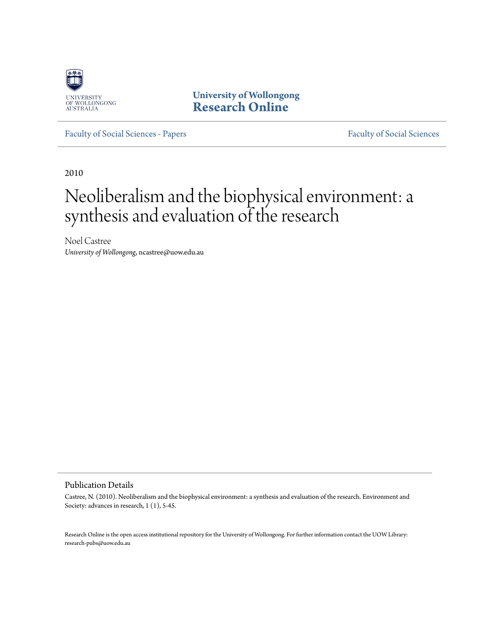

**University of Wollongong [Research Online](http://ro.uow.edu.au)**

[Faculty of Social Sciences - Papers](http://ro.uow.edu.au/sspapers) [Faculty of Social Sciences](http://ro.uow.edu.au/ss)

2010

# Neoliberalism and the biophysical environment: a synthesis and evaluation of the research

Noel Castree *University of Wollongong*, ncastree@uow.edu.au

#### Publication Details

Castree, N. (2010). Neoliberalism and the biophysical environment: a synthesis and evaluation of the research. Environment and Society: advances in research, 1 (1), 5-45.

Research Online is the open access institutional repository for the University of Wollongong. For further information contact the UOW Library: research-pubs@uow.edu.au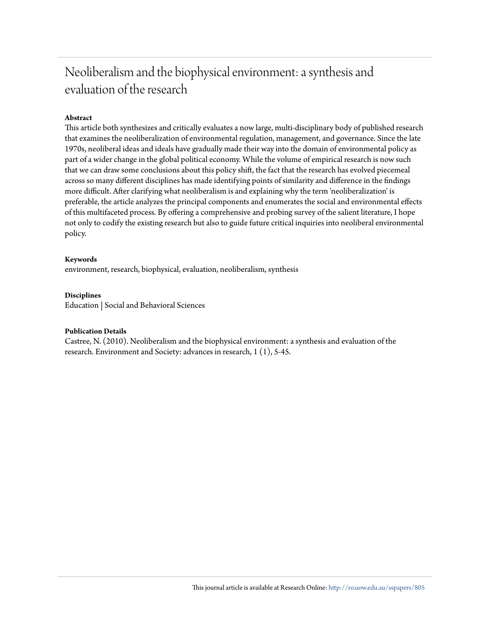## Neoliberalism and the biophysical environment: a synthesis and evaluation of the research

#### **Abstract**

This article both synthesizes and critically evaluates a now large, multi-disciplinary body of published research that examines the neoliberalization of environmental regulation, management, and governance. Since the late 1970s, neoliberal ideas and ideals have gradually made their way into the domain of environmental policy as part of a wider change in the global political economy. While the volume of empirical research is now such that we can draw some conclusions about this policy shift, the fact that the research has evolved piecemeal across so many different disciplines has made identifying points of similarity and difference in the findings more difficult. After clarifying what neoliberalism is and explaining why the term 'neoliberalization' is preferable, the article analyzes the principal components and enumerates the social and environmental effects of this multifaceted process. By offering a comprehensive and probing survey of the salient literature, I hope not only to codify the existing research but also to guide future critical inquiries into neoliberal environmental policy.

#### **Keywords**

environment, research, biophysical, evaluation, neoliberalism, synthesis

#### **Disciplines**

Education | Social and Behavioral Sciences

#### **Publication Details**

Castree, N. (2010). Neoliberalism and the biophysical environment: a synthesis and evaluation of the research. Environment and Society: advances in research, 1 (1), 5-45.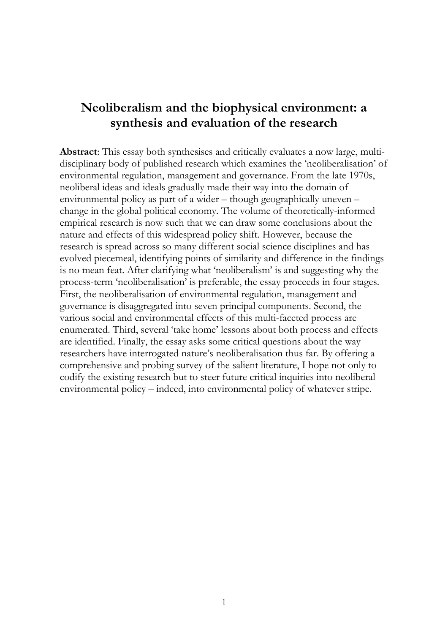## **Neoliberalism and the biophysical environment: a synthesis and evaluation of the research**

<span id="page-2-0"></span>**Abstract**: This essay both synthesises and critically evaluates a now large, multidisciplinary body of published research which examines the 'neoliberalisation' of environmental regulation, management and governance. From the late 1970s, neoliberal ideas and ideals gradually made their way into the domain of environmental policy as part of a wider – though geographically uneven – change in the global political economy. The volume of theoretically-informed empirical research is now such that we can draw some conclusions about the nature and effects of this widespread policy shift. However, because the research is spread across so many different social science disciplines and has evolved piecemeal, identifying points of similarity and difference in the findings is no mean feat. After clarifying what 'neoliberalism' is and suggesting why the process-term 'neoliberalisation' is preferable, the essay proceeds in four stages. First, the neoliberalisation of environmental regulation, management and governance is disaggregated into seven principal components. Second, the various social and environmental effects of this multi-faceted process are enumerated. Third, several 'take home' lessons about both process and effects are identified. Finally, the essay asks some critical questions about the way researchers have interrogated nature's neoliberalisation thus far. By offering a comprehensive and probing survey of the salient literature, I hope not only to codify the existing research but to steer future critical inquiries into neoliberal environmental policy – indeed, into environmental policy of whatever stripe.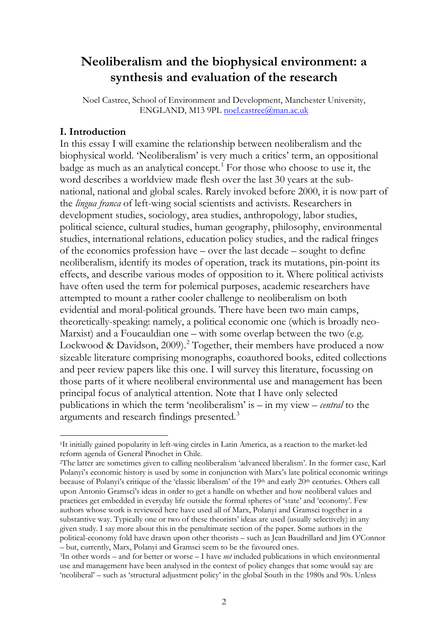## **Neoliberalism and the biophysical environment: a synthesis and evaluation of the research**

Noel Castree, School of Environment and Development, Manchester University, ENGLAND, M13 9PL [noel.castree@man.ac.uk](mailto:noel.castree@man.ac.uk)

## **I. Introduction**

 $\overline{a}$ 

In this essay I will examine the relationship between neoliberalism and the biophysical world. 'Neoliberalism' is very much a critics' term, an oppositional badge as much as an analytical concept. [1](#page-2-0) For those who choose to use it, the word describes a worldview made flesh over the last 30 years at the subnational, national and global scales. Rarely invoked before 2000, it is now part of the *lingua franca* of left-wing social scientists and activists. Researchers in development studies, sociology, area studies, anthropology, labor studies, political science, cultural studies, human geography, philosophy, environmental studies, international relations, education policy studies, and the radical fringes of the economics profession have – over the last decade – sought to define neoliberalism, identify its modes of operation, track its mutations, pin-point its effects, and describe various modes of opposition to it. Where political activists have often used the term for polemical purposes, academic researchers have attempted to mount a rather cooler challenge to neoliberalism on both evidential and moral-political grounds. There have been two main camps, theoretically-speaking: namely, a political economic one (which is broadly neo-Marxist) and a Foucauldian one – with some overlap between the two (e.g. Lockwood & Davidson, [2](#page-3-0)009).<sup>2</sup> Together, their members have produced a now sizeable literature comprising monographs, coauthored books, edited collections and peer review papers like this one. I will survey this literature, focussing on those parts of it where neoliberal environmental use and management has been principal focus of analytical attention. Note that I have only selected publications in which the term 'neoliberalism' is – in my view – *central* to the arguments and research findings presented.<sup>[3](#page-3-1)</sup>

<span id="page-3-2"></span><sup>1</sup>It initially gained popularity in left-wing circles in Latin America, as a reaction to the market-led reform agenda of General Pinochet in Chile.

<span id="page-3-0"></span><sup>2</sup>The latter are sometimes given to calling neoliberalism 'advanced liberalism'. In the former case, Karl Polanyi's economic history is used by some in conjunction with Marx's late political economic writings because of Polanyi's critique of the 'classic liberalism' of the 19<sup>th</sup> and early 20<sup>th</sup> centuries. Others call upon Antonio Gramsci's ideas in order to get a handle on whether and how neoliberal values and practices get embedded in everyday life outside the formal spheres of 'state' and 'economy'. Few authors whose work is reviewed here have used all of Marx, Polanyi and Gramsci together in a substantive way. Typically one or two of these theorists' ideas are used (usually selectively) in any given study. I say more about this in the penultimate section of the paper. Some authors in the political-economy fold have drawn upon other theorists – such as Jean Baudrillard and Jim O'Connor – but, currently, Marx, Polanyi and Gramsci seem to be the favoured ones.

<span id="page-3-1"></span><sup>3</sup>In other words – and for better or worse – I have *not* included publications in which environmental use and management have been analysed in the context of policy changes that some would say are 'neoliberal' – such as 'structural adjustment policy' in the global South in the 1980s and 90s. Unless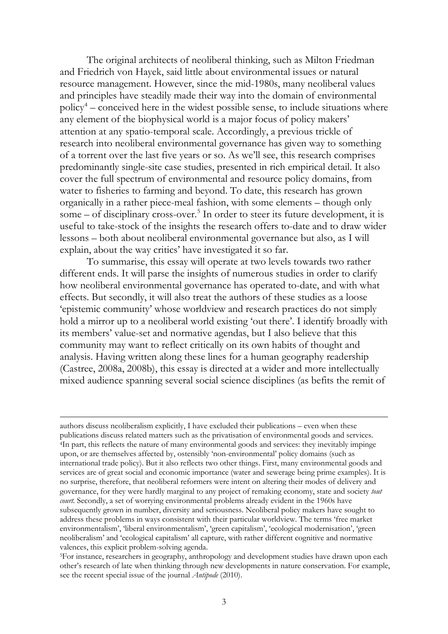The original architects of neoliberal thinking, such as Milton Friedman and Friedrich von Hayek, said little about environmental issues or natural resource management. However, since the mid-1980s, many neoliberal values and principles have steadily made their way into the domain of environmental policy<sup>[4](#page-3-2)</sup> – conceived here in the widest possible sense, to include situations where any element of the biophysical world is a major focus of policy makers' attention at any spatio-temporal scale. Accordingly, a previous trickle of research into neoliberal environmental governance has given way to something of a torrent over the last five years or so. As we'll see, this research comprises predominantly single-site case studies, presented in rich empirical detail. It also cover the full spectrum of environmental and resource policy domains, from water to fisheries to farming and beyond. To date, this research has grown organically in a rather piece-meal fashion, with some elements – though only some – of disciplinary cross-over. [5](#page-4-0) In order to steer its future development, it is useful to take-stock of the insights the research offers to-date and to draw wider lessons – both about neoliberal environmental governance but also, as I will explain, about the way critics' have investigated it so far.

To summarise, this essay will operate at two levels towards two rather different ends. It will parse the insights of numerous studies in order to clarify how neoliberal environmental governance has operated to-date, and with what effects. But secondly, it will also treat the authors of these studies as a loose 'epistemic community' whose worldview and research practices do not simply hold a mirror up to a neoliberal world existing 'out there'. I identify broadly with its members' value-set and normative agendas, but I also believe that this community may want to reflect critically on its own habits of thought and analysis. Having written along these lines for a human geography readership (Castree, 2008a, 2008b), this essay is directed at a wider and more intellectually mixed audience spanning several social science disciplines (as befits the remit of

-

<span id="page-4-1"></span>authors discuss neoliberalism explicitly, I have excluded their publications – even when these publications discuss related matters such as the privatisation of environmental goods and services. 4In part, this reflects the nature of many environmental goods and services: they inevitably impinge upon, or are themselves affected by, ostensibly 'non-environmental' policy domains (such as international trade policy). But it also reflects two other things. First, many environmental goods and services are of great social and economic importance (water and sewerage being prime examples). It is no surprise, therefore, that neoliberal reformers were intent on altering their modes of delivery and governance, for they were hardly marginal to any project of remaking economy, state and society *tout court*. Secondly, a set of worrying environmental problems already evident in the 1960s have subsequently grown in number, diversity and seriousness. Neoliberal policy makers have sought to address these problems in ways consistent with their particular worldview. The terms 'free market environmentalism', 'liberal environmentalism', 'green capitalism', 'ecological modernisation', 'green neoliberalism' and 'ecological capitalism' all capture, with rather different cognitive and normative valences, this explicit problem-solving agenda.

<span id="page-4-0"></span><sup>&</sup>lt;sup>5</sup>For instance, researchers in geography, anthropology and development studies have drawn upon each other's research of late when thinking through new developments in nature conservation. For example, see the recent special issue of the journal *Antipode* (2010).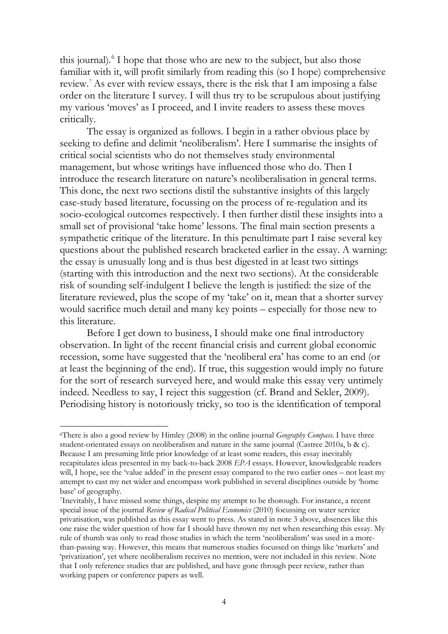this journal). [6](#page-4-1) I hope that those who are new to the subject, but also those familiar with it, will profit similarly from reading this (so I hope) comprehensive review. [7](#page-5-0) As ever with review essays, there is the risk that I am imposing a false order on the literature I survey. I will thus try to be scrupulous about justifying my various 'moves' as I proceed, and I invite readers to assess these moves critically.

The essay is organized as follows. I begin in a rather obvious place by seeking to define and delimit 'neoliberalism'. Here I summarise the insights of critical social scientists who do not themselves study environmental management, but whose writings have influenced those who do. Then I introduce the research literature on nature's neoliberalisation in general terms. This done, the next two sections distil the substantive insights of this largely case-study based literature, focussing on the process of re-regulation and its socio-ecological outcomes respectively. I then further distil these insights into a small set of provisional 'take home' lessons. The final main section presents a sympathetic critique of the literature. In this penultimate part I raise several key questions about the published research bracketed earlier in the essay. A warning: the essay is unusually long and is thus best digested in at least two sittings (starting with this introduction and the next two sections). At the considerable risk of sounding self-indulgent I believe the length is justified: the size of the literature reviewed, plus the scope of my 'take' on it, mean that a shorter survey would sacrifice much detail and many key points – especially for those new to this literature.

Before I get down to business, I should make one final introductory observation. In light of the recent financial crisis and current global economic recession, some have suggested that the 'neoliberal era' has come to an end (or at least the beginning of the end). If true, this suggestion would imply no future for the sort of research surveyed here, and would make this essay very untimely indeed. Needless to say, I reject this suggestion (cf. Brand and Sekler, 2009). Periodising history is notoriously tricky, so too is the identification of temporal

<sup>6</sup>There is also a good review by Himley (2008) in the online journal *Geography Compass*. I have three student-orientated essays on neoliberalism and nature in the same journal (Castree 2010a, b & c). Because I am presuming little prior knowledge of at least some readers, this essay inevitably recapitulates ideas presented in my back-to-back 2008 *EPA* essays. However, knowledgeable readers will, I hope, see the 'value added' in the present essay compared to the two earlier ones – not least my attempt to cast my net wider and encompass work published in several disciplines outside by 'home base' of geography.

<span id="page-5-1"></span><span id="page-5-0"></span><sup>7</sup>Inevitably, I have missed some things, despite my attempt to be thorough. For instance, a recent special issue of the journal *Review of Radical Political Economics* (2010) focussing on water service privatisation, was published as this essay went to press. As stated in note 3 above, absences like this one raise the wider question of how far I should have thrown my net when researching this essay. My rule of thumb was only to read those studies in which the term 'neoliberalism' was used in a morethan-passing way. However, this means that numerous studies focussed on things like 'markets' and 'privatization', yet where neoliberalism receives no mention, were not included in this review. Note that I only reference studies that are published, and have gone through peer review, rather than working papers or conference papers as well.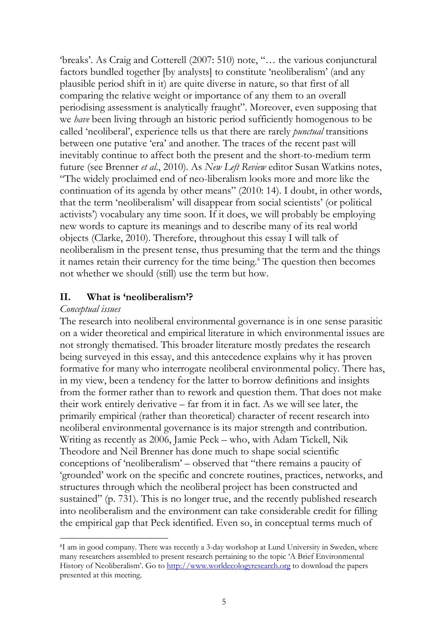'breaks'. As Craig and Cotterell (2007: 510) note, "… the various conjunctural factors bundled together [by analysts] to constitute 'neoliberalism' (and any plausible period shift in it) are quite diverse in nature, so that first of all comparing the relative weight or importance of any them to an overall periodising assessment is analytically fraught". Moreover, even supposing that we *have* been living through an historic period sufficiently homogenous to be called 'neoliberal', experience tells us that there are rarely *punctual* transitions between one putative 'era' and another. The traces of the recent past will inevitably continue to affect both the present and the short-to-medium term future (see Brenner *et al*., 2010). As *New Left Review* editor Susan Watkins notes, "The widely proclaimed end of neo-liberalism looks more and more like the continuation of its agenda by other means" (2010: 14). I doubt, in other words, that the term 'neoliberalism' will disappear from social scientists' (or political activists') vocabulary any time soon. If it does, we will probably be employing new words to capture its meanings and to describe many of its real world objects (Clarke, 2010). Therefore, throughout this essay I will talk of neoliberalism in the present tense, thus presuming that the term and the things it names retain their currency for the time being.<sup>[8](#page-5-1)</sup> The question then becomes not whether we should (still) use the term but how.

## **II. What is 'neoliberalism'?**

## *Conceptual issues*

<span id="page-6-0"></span> $\overline{a}$ 

The research into neoliberal environmental governance is in one sense parasitic on a wider theoretical and empirical literature in which environmental issues are not strongly thematised. This broader literature mostly predates the research being surveyed in this essay, and this antecedence explains why it has proven formative for many who interrogate neoliberal environmental policy. There has, in my view, been a tendency for the latter to borrow definitions and insights from the former rather than to rework and question them. That does not make their work entirely derivative – far from it in fact. As we will see later, the primarily empirical (rather than theoretical) character of recent research into neoliberal environmental governance is its major strength and contribution. Writing as recently as 2006, Jamie Peck – who, with Adam Tickell, Nik Theodore and Neil Brenner has done much to shape social scientific conceptions of 'neoliberalism' – observed that "there remains a paucity of 'grounded' work on the specific and concrete routines, practices, networks, and structures through which the neoliberal project has been constructed and sustained" (p. 731). This is no longer true, and the recently published research into neoliberalism and the environment can take considerable credit for filling the empirical gap that Peck identified. Even so, in conceptual terms much of

<sup>8</sup>I am in good company. There was recently a 3-day workshop at Lund University in Sweden, where many researchers assembled to present research pertaining to the topic 'A Brief Environmental History of Neoliberalism'. Go to [http://www.worldecologyresearch.org](http://www.worldecologyresearch.org/) to download the papers presented at this meeting.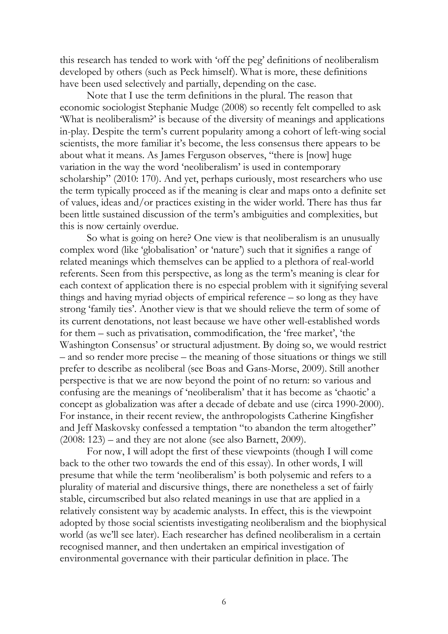this research has tended to work with 'off the peg' definitions of neoliberalism developed by others (such as Peck himself). What is more, these definitions have been used selectively and partially, depending on the case.

Note that I use the term definitions in the plural. The reason that economic sociologist Stephanie Mudge (2008) so recently felt compelled to ask 'What is neoliberalism?' is because of the diversity of meanings and applications in-play. Despite the term's current popularity among a cohort of left-wing social scientists, the more familiar it's become, the less consensus there appears to be about what it means. As James Ferguson observes, "there is [now] huge variation in the way the word 'neoliberalism' is used in contemporary scholarship" (2010: 170). And yet, perhaps curiously, most researchers who use the term typically proceed as if the meaning is clear and maps onto a definite set of values, ideas and/or practices existing in the wider world. There has thus far been little sustained discussion of the term's ambiguities and complexities, but this is now certainly overdue.

So what is going on here? One view is that neoliberalism is an unusually complex word (like 'globalisation' or 'nature') such that it signifies a range of related meanings which themselves can be applied to a plethora of real-world referents. Seen from this perspective, as long as the term's meaning is clear for each context of application there is no especial problem with it signifying several things and having myriad objects of empirical reference – so long as they have strong 'family ties'. Another view is that we should relieve the term of some of its current denotations, not least because we have other well-established words for them – such as privatisation, commodification, the 'free market', 'the Washington Consensus' or structural adjustment. By doing so, we would restrict – and so render more precise – the meaning of those situations or things we still prefer to describe as neoliberal (see Boas and Gans-Morse, 2009). Still another perspective is that we are now beyond the point of no return: so various and confusing are the meanings of 'neoliberalism' that it has become as 'chaotic' a concept as globalization was after a decade of debate and use (circa 1990-2000). For instance, in their recent review, the anthropologists Catherine Kingfisher and Jeff Maskovsky confessed a temptation "to abandon the term altogether" (2008: 123) – and they are not alone (see also Barnett, 2009).

For now, I will adopt the first of these viewpoints (though I will come back to the other two towards the end of this essay). In other words, I will presume that while the term 'neoliberalism' is both polysemic and refers to a plurality of material and discursive things, there are nonetheless a set of fairly stable, circumscribed but also related meanings in use that are applied in a relatively consistent way by academic analysts. In effect, this is the viewpoint adopted by those social scientists investigating neoliberalism and the biophysical world (as we'll see later). Each researcher has defined neoliberalism in a certain recognised manner, and then undertaken an empirical investigation of environmental governance with their particular definition in place. The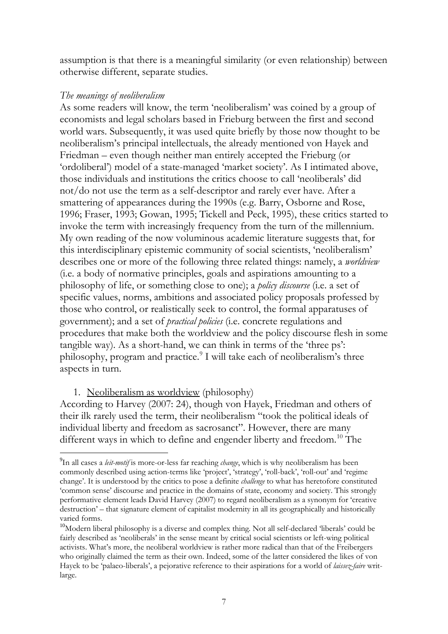assumption is that there is a meaningful similarity (or even relationship) between otherwise different, separate studies.

## *The meanings of neoliberalism*

As some readers will know, the term 'neoliberalism' was coined by a group of economists and legal scholars based in Frieburg between the first and second world wars. Subsequently, it was used quite briefly by those now thought to be neoliberalism's principal intellectuals, the already mentioned von Hayek and Friedman – even though neither man entirely accepted the Frieburg (or 'ordoliberal') model of a state-managed 'market society'. As I intimated above, those individuals and institutions the critics choose to call 'neoliberals' did not/do not use the term as a self-descriptor and rarely ever have. After a smattering of appearances during the 1990s (e.g. Barry, Osborne and Rose, 1996; Fraser, 1993; Gowan, 1995; Tickell and Peck, 1995), these critics started to invoke the term with increasingly frequency from the turn of the millennium. My own reading of the now voluminous academic literature suggests that, for this interdisciplinary epistemic community of social scientists, 'neoliberalism' describes one or more of the following three related things: namely, a *worldview* (i.e. a body of normative principles, goals and aspirations amounting to a philosophy of life, or something close to one); a *policy discourse* (i.e. a set of specific values, norms, ambitions and associated policy proposals professed by those who control, or realistically seek to control, the formal apparatuses of government); and a set of *practical policies* (i.e. concrete regulations and procedures that make both the worldview and the policy discourse flesh in some tangible way). As a short-hand, we can think in terms of the 'three ps': philosophy, program and practice.<sup>[9](#page-6-0)</sup> I will take each of neoliberalism's three aspects in turn.

1. Neoliberalism as worldview (philosophy)

According to Harvey (2007: 24), though von Hayek, Friedman and others of their ilk rarely used the term, their neoliberalism "took the political ideals of individual liberty and freedom as sacrosanct". However, there are many different ways in which to define and engender liberty and freedom.<sup>[10](#page-8-0)</sup> The

<sup>-&</sup>lt;br>9 In all cases a *leit-motif* is more-or-less far reaching *change*, which is why neoliberalism has been commonly described using action-terms like 'project', 'strategy', 'roll-back', 'roll-out' and 'regime change'. It is understood by the critics to pose a definite *challenge* to what has heretofore constituted 'common sense' discourse and practice in the domains of state, economy and society. This strongly performative element leads David Harvey (2007) to regard neoliberalism as a synonym for 'creative destruction' – that signature element of capitalist modernity in all its geographically and historically varied forms.

<span id="page-8-1"></span><span id="page-8-0"></span><sup>10</sup>Modern liberal philosophy is a diverse and complex thing. Not all self-declared 'liberals' could be fairly described as 'neoliberals' in the sense meant by critical social scientists or left-wing political activists. What's more, the neoliberal worldview is rather more radical than that of the Freibergers who originally claimed the term as their own. Indeed, some of the latter considered the likes of von Hayek to be 'palaeo-liberals', a pejorative reference to their aspirations for a world of *laissez-faire* writlarge.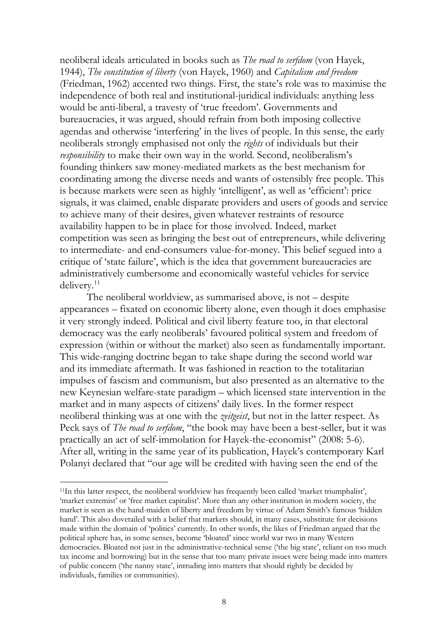neoliberal ideals articulated in books such as *The road to serfdom* (von Hayek, 1944), *The constitution of liberty* (von Hayek, 1960) and *Capitalism and freedom* (Friedman, 1962) accented two things. First, the state's role was to maximise the independence of both real and institutional-juridical individuals: anything less would be anti-liberal, a travesty of 'true freedom'. Governments and bureaucracies, it was argued, should refrain from both imposing collective agendas and otherwise 'interfering' in the lives of people. In this sense, the early neoliberals strongly emphasised not only the *rights* of individuals but their *responsibility* to make their own way in the world. Second, neoliberalism's founding thinkers saw money-mediated markets as the best mechanism for coordinating among the diverse needs and wants of ostensibly free people. This is because markets were seen as highly 'intelligent', as well as 'efficient': price signals, it was claimed, enable disparate providers and users of goods and service to achieve many of their desires, given whatever restraints of resource availability happen to be in place for those involved. Indeed, market competition was seen as bringing the best out of entrepreneurs, while delivering to intermediate- and end-consumers value-for-money. This belief segued into a critique of 'state failure', which is the idea that government bureaucracies are administratively cumbersome and economically wasteful vehicles for service delivery.<sup>[11](#page-8-1)</sup>

The neoliberal worldview, as summarised above, is not – despite appearances – fixated on economic liberty alone, even though it does emphasise it very strongly indeed. Political and civil liberty feature too, in that electoral democracy was the early neoliberals' favoured political system and freedom of expression (within or without the market) also seen as fundamentally important. This wide-ranging doctrine began to take shape during the second world war and its immediate aftermath. It was fashioned in reaction to the totalitarian impulses of fascism and communism, but also presented as an alternative to the new Keynesian welfare-state paradigm – which licensed state intervention in the market and in many aspects of citizens' daily lives. In the former respect neoliberal thinking was at one with the *zeitgeist*, but not in the latter respect. As Peck says of *The road to serfdom*, "the book may have been a best-seller, but it was practically an act of self-immolation for Hayek-the-economist" (2008: 5-6). After all, writing in the same year of its publication, Hayek's contemporary Karl Polanyi declared that "our age will be credited with having seen the end of the

<span id="page-9-0"></span><sup>11</sup>In this latter respect, the neoliberal worldview has frequently been called 'market triumphalist', 'market extremist' or 'free market capitalist'. More than any other institution in modern society, the market is seen as the hand-maiden of liberty and freedom by virtue of Adam Smith's famous 'hidden hand'. This also dovetailed with a belief that markets should, in many cases, substitute for decisions made within the domain of 'politics' currently. In other words, the likes of Friedman argued that the political sphere has, in some senses, become 'bloated' since world war two in many Western democracies. Bloated not just in the administrative-technical sense ('the big state', reliant on too much tax income and borrowing) but in the sense that too many private issues were being made into matters of public concern ('the nanny state', intruding into matters that should rightly be decided by individuals, families or communities).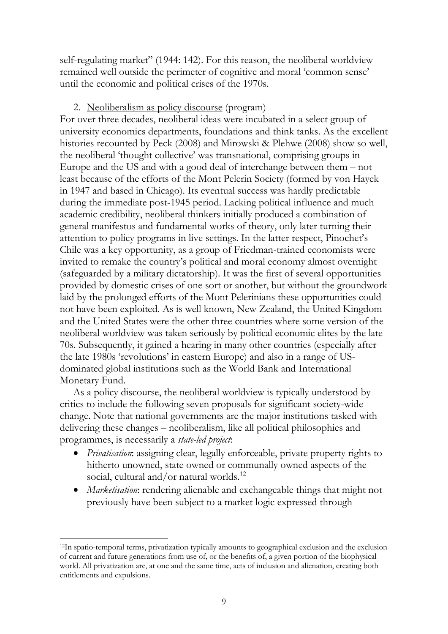self-regulating market" (1944: 142). For this reason, the neoliberal worldview remained well outside the perimeter of cognitive and moral 'common sense' until the economic and political crises of the 1970s.

## 2. Neoliberalism as policy discourse (program)

For over three decades, neoliberal ideas were incubated in a select group of university economics departments, foundations and think tanks. As the excellent histories recounted by Peck (2008) and Mirowski & Plehwe (2008) show so well, the neoliberal 'thought collective' was transnational, comprising groups in Europe and the US and with a good deal of interchange between them – not least because of the efforts of the Mont Pelerin Society (formed by von Hayek in 1947 and based in Chicago). Its eventual success was hardly predictable during the immediate post-1945 period. Lacking political influence and much academic credibility, neoliberal thinkers initially produced a combination of general manifestos and fundamental works of theory, only later turning their attention to policy programs in live settings. In the latter respect, Pinochet's Chile was a key opportunity, as a group of Friedman-trained economists were invited to remake the country's political and moral economy almost overnight (safeguarded by a military dictatorship). It was the first of several opportunities provided by domestic crises of one sort or another, but without the groundwork laid by the prolonged efforts of the Mont Pelerinians these opportunities could not have been exploited. As is well known, New Zealand, the United Kingdom and the United States were the other three countries where some version of the neoliberal worldview was taken seriously by political economic elites by the late 70s. Subsequently, it gained a hearing in many other countries (especially after the late 1980s 'revolutions' in eastern Europe) and also in a range of USdominated global institutions such as the World Bank and International Monetary Fund.

As a policy discourse, the neoliberal worldview is typically understood by critics to include the following seven proposals for significant society-wide change. Note that national governments are the major institutions tasked with delivering these changes – neoliberalism, like all political philosophies and programmes, is necessarily a *state-led project*:

- *Privatisation*: assigning clear, legally enforceable, private property rights to hitherto unowned, state owned or communally owned aspects of the social, cultural and/or natural worlds.<sup>[12](#page-9-0)</sup>
- *Marketisation*: rendering alienable and exchangeable things that might not previously have been subject to a market logic expressed through

<span id="page-10-0"></span><sup>12</sup>In spatio-temporal terms, privatization typically amounts to geographical exclusion and the exclusion of current and future generations from use of, or the benefits of, a given portion of the biophysical world. All privatization are, at one and the same time, acts of inclusion and alienation, creating both entitlements and expulsions.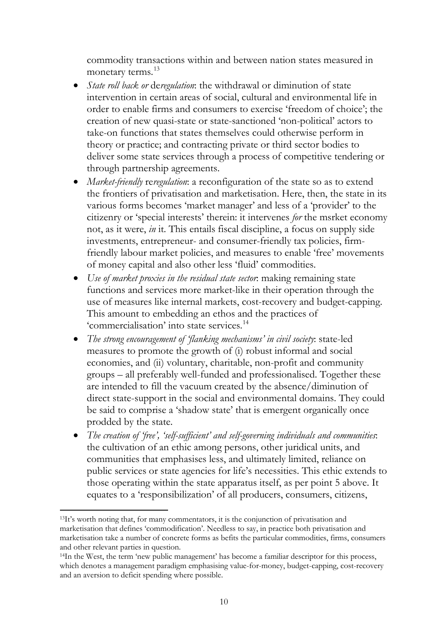commodity transactions within and between nation states measured in monetary terms. [13](#page-10-0)

- *State roll back or* de*regulation*: the withdrawal or diminution of state intervention in certain areas of social, cultural and environmental life in order to enable firms and consumers to exercise 'freedom of choice'; the creation of new quasi-state or state-sanctioned 'non-political' actors to take-on functions that states themselves could otherwise perform in theory or practice; and contracting private or third sector bodies to deliver some state services through a process of competitive tendering or through partnership agreements.
- *Market-friendly reregulation*: a reconfiguration of the state so as to extend the frontiers of privatisation and marketisation. Here, then, the state in its various forms becomes 'market manager' and less of a 'provider' to the citizenry or 'special interests' therein: it intervenes *for* the msrket economy not, as it were, *in* it. This entails fiscal discipline, a focus on supply side investments, entrepreneur- and consumer-friendly tax policies, firmfriendly labour market policies, and measures to enable 'free' movements of money capital and also other less 'fluid' commodities.
- *Use of market proxies in the residual state sector*: making remaining state functions and services more market-like in their operation through the use of measures like internal markets, cost-recovery and budget-capping. This amount to embedding an ethos and the practices of 'commercialisation' into state services. [14](#page-11-0)
- *The strong encouragement of 'flanking mechanisms' in civil society*: state-led measures to promote the growth of (i) robust informal and social economies, and (ii) voluntary, charitable, non-profit and community groups – all preferably well-funded and professionalised. Together these are intended to fill the vacuum created by the absence/diminution of direct state-support in the social and environmental domains. They could be said to comprise a 'shadow state' that is emergent organically once prodded by the state.
- *The creation of 'free', 'self-sufficient' and self-governing individuals and communities*: the cultivation of an ethic among persons, other juridical units, and communities that emphasises less, and ultimately limited, reliance on public services or state agencies for life's necessities. This ethic extends to those operating within the state apparatus itself, as per point 5 above. It equates to a 'responsibilization' of all producers, consumers, citizens,

<span id="page-11-1"></span><sup>13</sup>It's worth noting that, for many commentators, it is the conjunction of privatisation and marketisation that defines 'commodification'. Needless to say, in practice both privatisation and marketisation take a number of concrete forms as befits the particular commodities, firms, consumers and other relevant parties in question.

<span id="page-11-0"></span><sup>14</sup>In the West, the term 'new public management' has become a familiar descriptor for this process, which denotes a management paradigm emphasising value-for-money, budget-capping, cost-recovery and an aversion to deficit spending where possible.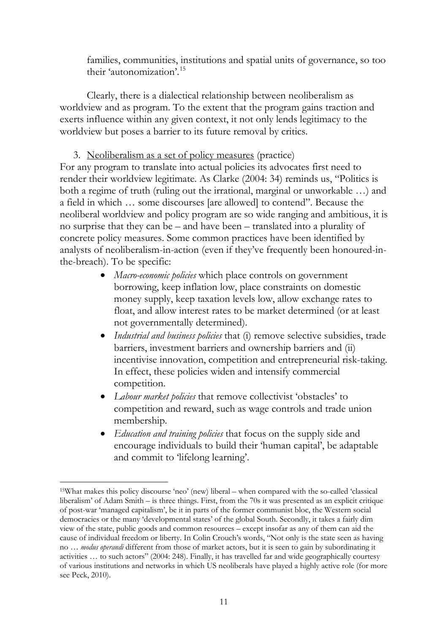families, communities, institutions and spatial units of governance, so too their 'autonomization'. [15](#page-11-1)

Clearly, there is a dialectical relationship between neoliberalism as worldview and as program. To the extent that the program gains traction and exerts influence within any given context, it not only lends legitimacy to the worldview but poses a barrier to its future removal by critics.

3. Neoliberalism as a set of policy measures (practice)

For any program to translate into actual policies its advocates first need to render their worldview legitimate. As Clarke (2004: 34) reminds us, "Politics is both a regime of truth (ruling out the irrational, marginal or unworkable …) and a field in which … some discourses [are allowed] to contend". Because the neoliberal worldview and policy program are so wide ranging and ambitious, it is no surprise that they can be – and have been – translated into a plurality of concrete policy measures. Some common practices have been identified by analysts of neoliberalism-in-action (even if they've frequently been honoured-inthe-breach). To be specific:

- *Macro-economic policies* which place controls on government borrowing, keep inflation low, place constraints on domestic money supply, keep taxation levels low, allow exchange rates to float, and allow interest rates to be market determined (or at least not governmentally determined).
- *Industrial and business policies* that (i) remove selective subsidies, trade barriers, investment barriers and ownership barriers and (ii) incentivise innovation, competition and entrepreneurial risk-taking. In effect, these policies widen and intensify commercial competition.
- *Labour market policies* that remove collectivist 'obstacles' to competition and reward, such as wage controls and trade union membership.
- *Education and training policies* that focus on the supply side and encourage individuals to build their 'human capital', be adaptable and commit to 'lifelong learning'.

<span id="page-12-0"></span> $\overline{a}$ 15What makes this policy discourse 'neo' (new) liberal – when compared with the so-called 'classical liberalism' of Adam Smith – is three things. First, from the 70s it was presented as an explicit critique of post-war 'managed capitalism', be it in parts of the former communist bloc, the Western social democracies or the many 'developmental states' of the global South. Secondly, it takes a fairly dim view of the state, public goods and common resources – except insofar as any of them can aid the cause of individual freedom or liberty. In Colin Crouch's words, "Not only is the state seen as having no … *modus operandi* different from those of market actors, but it is seen to gain by subordinating it activities … to such actors" (2004: 248). Finally, it has travelled far and wide geographically courtesy of various institutions and networks in which US neoliberals have played a highly active role (for more see Peck, 2010).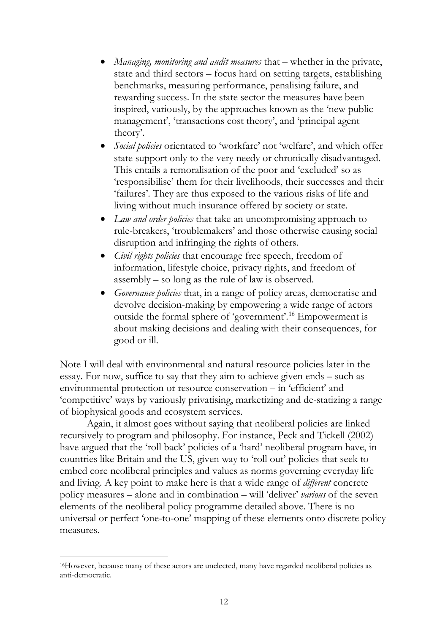- *Managing, monitoring and audit measures* that whether in the private, state and third sectors – focus hard on setting targets, establishing benchmarks, measuring performance, penalising failure, and rewarding success. In the state sector the measures have been inspired, variously, by the approaches known as the 'new public management', 'transactions cost theory', and 'principal agent theory'.
- *Social policies* orientated to 'workfare' not 'welfare', and which offer state support only to the very needy or chronically disadvantaged. This entails a remoralisation of the poor and 'excluded' so as 'responsibilise' them for their livelihoods, their successes and their 'failures'. They are thus exposed to the various risks of life and living without much insurance offered by society or state.
- *Law and order policies* that take an uncompromising approach to rule-breakers, 'troublemakers' and those otherwise causing social disruption and infringing the rights of others.
- *Civil rights policies* that encourage free speech, freedom of information, lifestyle choice, privacy rights, and freedom of assembly – so long as the rule of law is observed.
- *Governance policies* that, in a range of policy areas, democratise and devolve decision-making by empowering a wide range of actors outside the formal sphere of 'government'.[16](#page-12-0) Empowerment is about making decisions and dealing with their consequences, for good or ill.

Note I will deal with environmental and natural resource policies later in the essay. For now, suffice to say that they aim to achieve given ends – such as environmental protection or resource conservation – in 'efficient' and 'competitive' ways by variously privatising, marketizing and de-statizing a range of biophysical goods and ecosystem services.

<span id="page-13-0"></span>Again, it almost goes without saying that neoliberal policies are linked recursively to program and philosophy. For instance, Peck and Tickell (2002) have argued that the 'roll back' policies of a 'hard' neoliberal program have, in countries like Britain and the US, given way to 'roll out' policies that seek to embed core neoliberal principles and values as norms governing everyday life and living. A key point to make here is that a wide range of *different* concrete policy measures – alone and in combination – will 'deliver' *various* of the seven elements of the neoliberal policy programme detailed above. There is no universal or perfect 'one-to-one' mapping of these elements onto discrete policy measures.

<sup>16</sup>However, because many of these actors are unelected, many have regarded neoliberal policies as anti-democratic.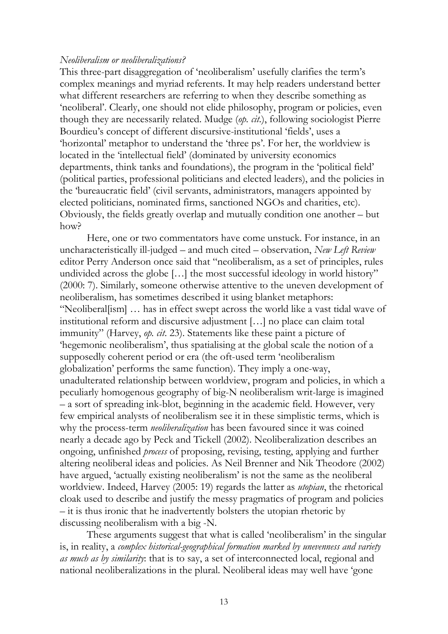#### *Neoliberalism or neoliberalizations?*

This three-part disaggregation of 'neoliberalism' usefully clarifies the term's complex meanings and myriad referents. It may help readers understand better what different researchers are referring to when they describe something as 'neoliberal'. Clearly, one should not elide philosophy, program or policies, even though they are necessarily related. Mudge (*op. cit*.), following sociologist Pierre Bourdieu's concept of different discursive-institutional 'fields', uses a 'horizontal' metaphor to understand the 'three ps'. For her, the worldview is located in the 'intellectual field' (dominated by university economics departments, think tanks and foundations), the program in the 'political field' (political parties, professional politicians and elected leaders), and the policies in the 'bureaucratic field' (civil servants, administrators, managers appointed by elected politicians, nominated firms, sanctioned NGOs and charities, etc). Obviously, the fields greatly overlap and mutually condition one another – but how?

Here, one or two commentators have come unstuck. For instance, in an uncharacteristically ill-judged – and much cited – observation, *New Left Review* editor Perry Anderson once said that "neoliberalism, as a set of principles, rules undivided across the globe […] the most successful ideology in world history" (2000: 7). Similarly, someone otherwise attentive to the uneven development of neoliberalism, has sometimes described it using blanket metaphors: "Neoliberal[ism] … has in effect swept across the world like a vast tidal wave of institutional reform and discursive adjustment […] no place can claim total immunity" (Harvey, *op. cit*. 23). Statements like these paint a picture of 'hegemonic neoliberalism', thus spatialising at the global scale the notion of a supposedly coherent period or era (the oft-used term 'neoliberalism globalization' performs the same function). They imply a one-way, unadulterated relationship between worldview, program and policies, in which a peculiarly homogenous geography of big-N neoliberalism writ-large is imagined – a sort of spreading ink-blot, beginning in the academic field. However, very few empirical analysts of neoliberalism see it in these simplistic terms, which is why the process-term *neoliberalization* has been favoured since it was coined nearly a decade ago by Peck and Tickell (2002). Neoliberalization describes an ongoing, unfinished *process* of proposing, revising, testing, applying and further altering neoliberal ideas and policies. As Neil Brenner and Nik Theodore (2002) have argued, 'actually existing neoliberalism' is not the same as the neoliberal worldview. Indeed, Harvey (2005: 19) regards the latter as *utopian*, the rhetorical cloak used to describe and justify the messy pragmatics of program and policies – it is thus ironic that he inadvertently bolsters the utopian rhetoric by discussing neoliberalism with a big -N.

These arguments suggest that what is called 'neoliberalism' in the singular is, in reality, a *complex historical-geographical formation marked by unevenness and variety as much as by similarity*: that is to say, a set of interconnected local, regional and national neoliberalizations in the plural. Neoliberal ideas may well have 'gone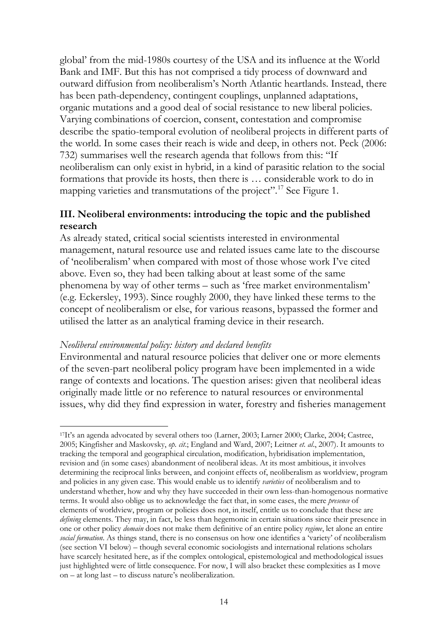global' from the mid-1980s courtesy of the USA and its influence at the World Bank and IMF. But this has not comprised a tidy process of downward and outward diffusion from neoliberalism's North Atlantic heartlands. Instead, there has been path-dependency, contingent couplings, unplanned adaptations, organic mutations and a good deal of social resistance to new liberal policies. Varying combinations of coercion, consent, contestation and compromise describe the spatio-temporal evolution of neoliberal projects in different parts of the world. In some cases their reach is wide and deep, in others not. Peck (2006: 732) summarises well the research agenda that follows from this: "If neoliberalism can only exist in hybrid, in a kind of parasitic relation to the social formations that provide its hosts, then there is … considerable work to do in mapping varieties and transmutations of the project".<sup>[17](#page-13-0)</sup> See Figure 1.

## **III. Neoliberal environments: introducing the topic and the published research**

As already stated, critical social scientists interested in environmental management, natural resource use and related issues came late to the discourse of 'neoliberalism' when compared with most of those whose work I've cited above. Even so, they had been talking about at least some of the same phenomena by way of other terms – such as 'free market environmentalism' (e.g. Eckersley, 1993). Since roughly 2000, they have linked these terms to the concept of neoliberalism or else, for various reasons, bypassed the former and utilised the latter as an analytical framing device in their research.

## *Neoliberal environmental policy: history and declared benefits*

 $\overline{a}$ 

Environmental and natural resource policies that deliver one or more elements of the seven-part neoliberal policy program have been implemented in a wide range of contexts and locations. The question arises: given that neoliberal ideas originally made little or no reference to natural resources or environmental issues, why did they find expression in water, forestry and fisheries management

<span id="page-15-0"></span><sup>17</sup>It's an agenda advocated by several others too (Larner, 2003; Larner 2000; Clarke, 2004; Castree, 2005; Kingfisher and Maskovsky, *op. cit*.; England and Ward, 2007; Leitner *et. al*., 2007). It amounts to tracking the temporal and geographical circulation, modification, hybridisation implementation, revision and (in some cases) abandonment of neoliberal ideas. At its most ambitious, it involves determining the reciprocal links between, and conjoint effects of, neoliberalism as worldview, program and policies in any given case. This would enable us to identify *varieties* of neoliberalism and to understand whether, how and why they have succeeded in their own less-than-homogenous normative terms. It would also oblige us to acknowledge the fact that, in some cases, the mere *presence* of elements of worldview, program or policies does not, in itself, entitle us to conclude that these are *defining* elements. They may, in fact, be less than hegemonic in certain situations since their presence in one or other policy *domain* does not make them definitive of an entire policy *regime*, let alone an entire *social formation*. As things stand, there is no consensus on how one identifies a 'variety' of neoliberalism (see section VI below) – though several economic sociologists and international relations scholars have scarcely hesitated here, as if the complex ontological, epistemological and methodological issues just highlighted were of little consequence. For now, I will also bracket these complexities as I move on – at long last – to discuss nature's neoliberalization.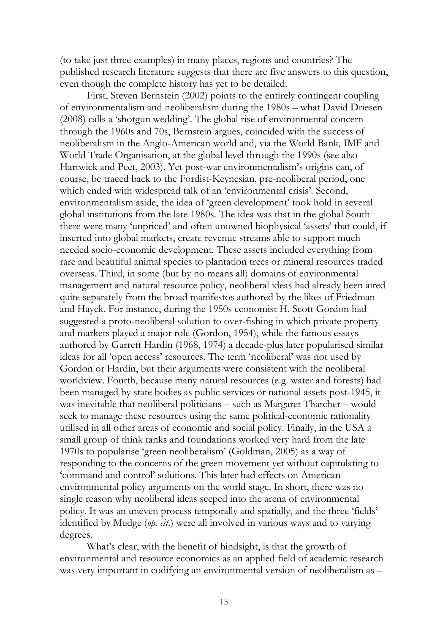(to take just three examples) in many places, regions and countries? The published research literature suggests that there are five answers to this question, even though the complete history has yet to be detailed.

First, Steven Bernstein (2002) points to the entirely contingent coupling of environmentalism and neoliberalism during the 1980s – what David Driesen (2008) calls a 'shotgun wedding'. The global rise of environmental concern through the 1960s and 70s, Bernstein argues, coincided with the success of neoliberalism in the Anglo-American world and, via the World Bank, IMF and World Trade Organisation, at the global level through the 1990s (see also Hartwick and Peet, 2003). Yet post-war environmentalism's origins can, of course, be traced back to the Fordist-Keynesian, pre-neoliberal period, one which ended with widespread talk of an 'environmental crisis'. Second, environmentalism aside, the idea of 'green development' took hold in several global institutions from the late 1980s. The idea was that in the global South there were many 'unpriced' and often unowned biophysical 'assets' that could, if inserted into global markets, create revenue streams able to support much needed socio-economic development. These assets included everything from rare and beautiful animal species to plantation trees or mineral resources traded overseas. Third, in some (but by no means all) domains of environmental management and natural resource policy, neoliberal ideas had already been aired quite separately from the broad manifestos authored by the likes of Friedman and Hayek. For instance, during the 1950s economist H. Scott Gordon had suggested a proto-neoliberal solution to over-fishing in which private property and markets played a major role (Gordon, 1954), while the famous essays authored by Garrett Hardin (1968, 1974) a decade-plus later popularised similar ideas for all 'open access' resources. The term 'neoliberal' was not used by Gordon or Hardin, but their arguments were consistent with the neoliberal worldview. Fourth, because many natural resources (e.g. water and forests) had been managed by state bodies as public services or national assets post-1945, it was inevitable that neoliberal politicians – such as Margaret Thatcher – would seek to manage these resources using the same political-economic rationality utilised in all other areas of economic and social policy. Finally, in the USA a small group of think tanks and foundations worked very hard from the late 1970s to popularise 'green neoliberalism' (Goldman, 2005) as a way of responding to the concerns of the green movement yet without capitulating to 'command and control' solutions. This later had effects on American environmental policy arguments on the world stage. In short, there was no single reason why neoliberal ideas seeped into the arena of environmental policy. It was an uneven process temporally and spatially, and the three 'fields' identified by Mudge (*op. cit*.) were all involved in various ways and to varying degrees.

What's clear, with the benefit of hindsight, is that the growth of environmental and resource economics as an applied field of academic research was very important in codifying an environmental version of neoliberalism as –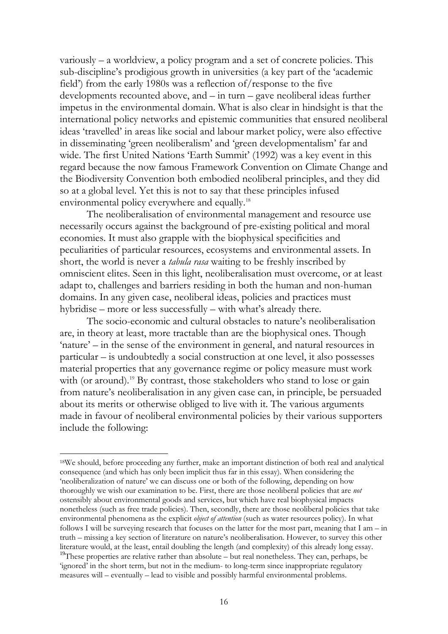variously – a worldview, a policy program and a set of concrete policies. This sub-discipline's prodigious growth in universities (a key part of the 'academic field') from the early 1980s was a reflection of/response to the five developments recounted above, and – in turn – gave neoliberal ideas further impetus in the environmental domain. What is also clear in hindsight is that the international policy networks and epistemic communities that ensured neoliberal ideas 'travelled' in areas like social and labour market policy, were also effective in disseminating 'green neoliberalism' and 'green developmentalism' far and wide. The first United Nations 'Earth Summit' (1992) was a key event in this regard because the now famous Framework Convention on Climate Change and the Biodiversity Convention both embodied neoliberal principles, and they did so at a global level. Yet this is not to say that these principles infused environmental policy everywhere and equally.<sup>[18](#page-15-0)</sup>

The neoliberalisation of environmental management and resource use necessarily occurs against the background of pre-existing political and moral economies. It must also grapple with the biophysical specificities and peculiarities of particular resources, ecosystems and environmental assets. In short, the world is never a *tabula rasa* waiting to be freshly inscribed by omniscient elites. Seen in this light, neoliberalisation must overcome, or at least adapt to, challenges and barriers residing in both the human and non-human domains. In any given case, neoliberal ideas, policies and practices must hybridise – more or less successfully – with what's already there.

The socio-economic and cultural obstacles to nature's neoliberalisation are, in theory at least, more tractable than are the biophysical ones. Though 'nature' – in the sense of the environment in general, and natural resources in particular – is undoubtedly a social construction at one level, it also possesses material properties that any governance regime or policy measure must work with (or around).<sup>[19](#page-17-0)</sup> By contrast, those stakeholders who stand to lose or gain from nature's neoliberalisation in any given case can, in principle, be persuaded about its merits or otherwise obliged to live with it. The various arguments made in favour of neoliberal environmental policies by their various supporters include the following:

<sup>18</sup>We should, before proceeding any further, make an important distinction of both real and analytical consequence (and which has only been implicit thus far in this essay). When considering the 'neoliberalization of nature' we can discuss one or both of the following, depending on how thoroughly we wish our examination to be. First, there are those neoliberal policies that are *not* ostensibly about environmental goods and services, but which have real biophysical impacts nonetheless (such as free trade policies). Then, secondly, there are those neoliberal policies that take environmental phenomena as the explicit *object of attention* (such as water resources policy). In what follows I will be surveying research that focuses on the latter for the most part, meaning that I am – in truth – missing a key section of literature on nature's neoliberalisation. However, to survey this other literature would, at the least, entail doubling the length (and complexity) of this already long essay.

<span id="page-17-1"></span><span id="page-17-0"></span><sup>&</sup>lt;sup>19</sup>These properties are relative rather than absolute  $-$  but real nonetheless. They can, perhaps, be 'ignored' in the short term, but not in the medium- to long-term since inappropriate regulatory measures will – eventually – lead to visible and possibly harmful environmental problems.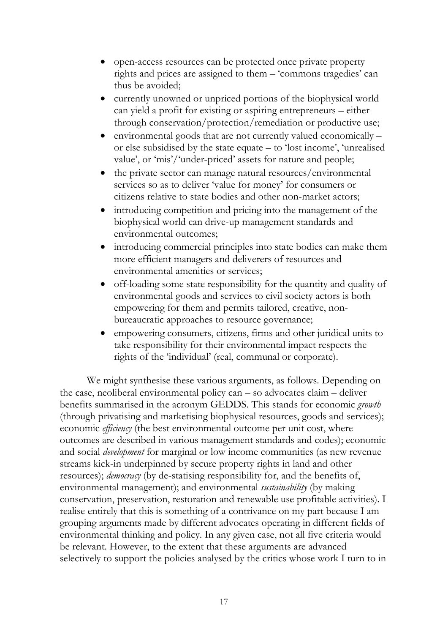- open-access resources can be protected once private property rights and prices are assigned to them – 'commons tragedies' can thus be avoided;
- currently unowned or unpriced portions of the biophysical world can yield a profit for existing or aspiring entrepreneurs – either through conservation/protection/remediation or productive use;
- environmental goods that are not currently valued economically or else subsidised by the state equate – to 'lost income', 'unrealised value', or 'mis'/'under-priced' assets for nature and people;
- the private sector can manage natural resources/environmental services so as to deliver 'value for money' for consumers or citizens relative to state bodies and other non-market actors;
- introducing competition and pricing into the management of the biophysical world can drive-up management standards and environmental outcomes;
- introducing commercial principles into state bodies can make them more efficient managers and deliverers of resources and environmental amenities or services;
- off-loading some state responsibility for the quantity and quality of environmental goods and services to civil society actors is both empowering for them and permits tailored, creative, nonbureaucratic approaches to resource governance;
- empowering consumers, citizens, firms and other juridical units to take responsibility for their environmental impact respects the rights of the 'individual' (real, communal or corporate).

We might synthesise these various arguments, as follows. Depending on the case, neoliberal environmental policy can – so advocates claim – deliver benefits summarised in the acronym GEDDS. This stands for economic *growth* (through privatising and marketising biophysical resources, goods and services); economic *efficiency* (the best environmental outcome per unit cost, where outcomes are described in various management standards and codes); economic and social *development* for marginal or low income communities (as new revenue streams kick-in underpinned by secure property rights in land and other resources); *democracy* (by de-statising responsibility for, and the benefits of, environmental management); and environmental *sustainability* (by making conservation, preservation, restoration and renewable use profitable activities). I realise entirely that this is something of a contrivance on my part because I am grouping arguments made by different advocates operating in different fields of environmental thinking and policy. In any given case, not all five criteria would be relevant. However, to the extent that these arguments are advanced selectively to support the policies analysed by the critics whose work I turn to in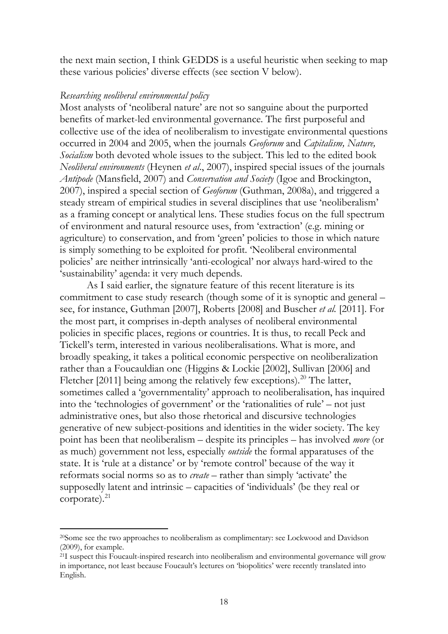the next main section, I think GEDDS is a useful heuristic when seeking to map these various policies' diverse effects (see section V below).

#### *Researching neoliberal environmental policy*

Most analysts of 'neoliberal nature' are not so sanguine about the purported benefits of market-led environmental governance. The first purposeful and collective use of the idea of neoliberalism to investigate environmental questions occurred in 2004 and 2005, when the journals *Geoforum* and *Capitalism, Nature, Socialism* both devoted whole issues to the subject. This led to the edited book *Neoliberal environments* (Heynen *et al*., 2007), inspired special issues of the journals *Antipode* (Mansfield, 2007) and *Conservation and Society* (Igoe and Brockington, 2007), inspired a special section of *Geoforum* (Guthman, 2008a), and triggered a steady stream of empirical studies in several disciplines that use 'neoliberalism' as a framing concept or analytical lens. These studies focus on the full spectrum of environment and natural resource uses, from 'extraction' (e.g. mining or agriculture) to conservation, and from 'green' policies to those in which nature is simply something to be exploited for profit. 'Neoliberal environmental policies' are neither intrinsically 'anti-ecological' nor always hard-wired to the 'sustainability' agenda: it very much depends.

As I said earlier, the signature feature of this recent literature is its commitment to case study research (though some of it is synoptic and general – see, for instance, Guthman [2007], Roberts [2008] and Buscher *et al.* [2011]. For the most part, it comprises in-depth analyses of neoliberal environmental policies in specific places, regions or countries. It is thus, to recall Peck and Tickell's term, interested in various neoliberalisations. What is more, and broadly speaking, it takes a political economic perspective on neoliberalization rather than a Foucauldian one (Higgins & Lockie [2002], Sullivan [2006] and Fletcher [[20](#page-17-1)11] being among the relatively few exceptions).<sup>20</sup> The latter, sometimes called a 'governmentality' approach to neoliberalisation, has inquired into the 'technologies of government' or the 'rationalities of rule' – not just administrative ones, but also those rhetorical and discursive technologies generative of new subject-positions and identities in the wider society. The key point has been that neoliberalism – despite its principles – has involved *more* (or as much) government not less, especially *outside* the formal apparatuses of the state. It is 'rule at a distance' or by 'remote control' because of the way it reformats social norms so as to *create* – rather than simply 'activate' the supposedly latent and intrinsic – capacities of 'individuals' (be they real or corporate). [21](#page-19-0)

<sup>20</sup>Some see the two approaches to neoliberalism as complimentary: see Lockwood and Davidson (2009), for example.

<span id="page-19-1"></span><span id="page-19-0"></span><sup>&</sup>lt;sup>21</sup>I suspect this Foucault-inspired research into neoliberalism and environmental governance will grow in importance, not least because Foucault's lectures on 'biopolitics' were recently translated into English.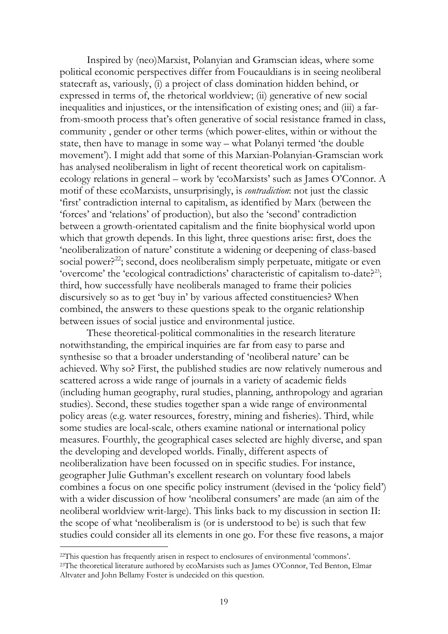Inspired by (neo)Marxist, Polanyian and Gramscian ideas, where some political economic perspectives differ from Foucauldians is in seeing neoliberal statecraft as, variously, (i) a project of class domination hidden behind, or expressed in terms of, the rhetorical worldview; (ii) generative of new social inequalities and injustices, or the intensification of existing ones; and (iii) a farfrom-smooth process that's often generative of social resistance framed in class, community , gender or other terms (which power-elites, within or without the state, then have to manage in some way – what Polanyi termed 'the double movement'). I might add that some of this Marxian-Polanyian-Gramscian work has analysed neoliberalism in light of recent theoretical work on capitalismecology relations in general – work by 'ecoMarxists' such as James O'Connor. A motif of these ecoMarxists, unsurprisingly, is *contradiction*: not just the classic 'first' contradiction internal to capitalism, as identified by Marx (between the 'forces' and 'relations' of production), but also the 'second' contradiction between a growth-orientated capitalism and the finite biophysical world upon which that growth depends. In this light, three questions arise: first, does the 'neoliberalization of nature' constitute a widening or deepening of class-based social power?<sup>22</sup>; second, does neoliberalism simply perpetuate, mitigate or even 'overcome' the 'ecological contradictions' characteristic of capitalism to-date?<sup>[23](#page-20-0)</sup>; third, how successfully have neoliberals managed to frame their policies discursively so as to get 'buy in' by various affected constituencies? When combined, the answers to these questions speak to the organic relationship between issues of social justice and environmental justice.

These theoretical-political commonalities in the research literature notwithstanding, the empirical inquiries are far from easy to parse and synthesise so that a broader understanding of 'neoliberal nature' can be achieved. Why so? First, the published studies are now relatively numerous and scattered across a wide range of journals in a variety of academic fields (including human geography, rural studies, planning, anthropology and agrarian studies). Second, these studies together span a wide range of environmental policy areas (e.g. water resources, forestry, mining and fisheries). Third, while some studies are local-scale, others examine national or international policy measures. Fourthly, the geographical cases selected are highly diverse, and span the developing and developed worlds. Finally, different aspects of neoliberalization have been focussed on in specific studies. For instance, geographer Julie Guthman's excellent research on voluntary food labels combines a focus on one specific policy instrument (devised in the 'policy field') with a wider discussion of how 'neoliberal consumers' are made (an aim of the neoliberal worldview writ-large). This links back to my discussion in section II: the scope of what 'neoliberalism is (or is understood to be) is such that few studies could consider all its elements in one go. For these five reasons, a major

<sup>22</sup>This question has frequently arisen in respect to enclosures of environmental 'commons'.

<span id="page-20-0"></span><sup>23</sup>The theoretical literature authored by ecoMarxists such as James O'Connor, Ted Benton, Elmar Altvater and John Bellamy Foster is undecided on this question.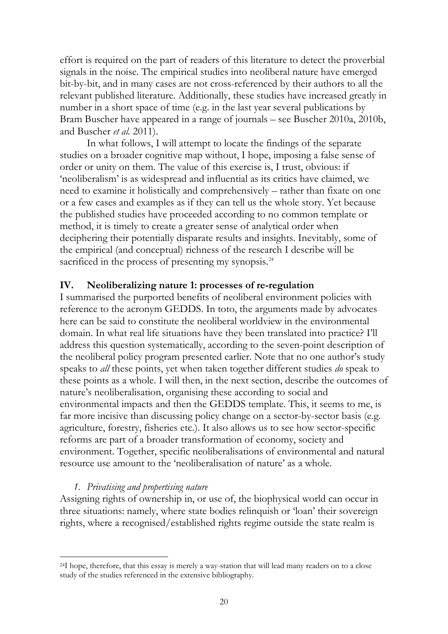effort is required on the part of readers of this literature to detect the proverbial signals in the noise. The empirical studies into neoliberal nature have emerged bit-by-bit, and in many cases are not cross-referenced by their authors to all the relevant published literature. Additionally, these studies have increased greatly in number in a short space of time (e.g. in the last year several publications by Bram Buscher have appeared in a range of journals – see Buscher 2010a, 2010b, and Buscher *et al.* 2011).

In what follows, I will attempt to locate the findings of the separate studies on a broader cognitive map without, I hope, imposing a false sense of order or unity on them. The value of this exercise is, I trust, obvious: if 'neoliberalism' is as widespread and influential as its critics have claimed, we need to examine it holistically and comprehensively – rather than fixate on one or a few cases and examples as if they can tell us the whole story. Yet because the published studies have proceeded according to no common template or method, it is timely to create a greater sense of analytical order when deciphering their potentially disparate results and insights. Inevitably, some of the empirical (and conceptual) richness of the research I describe will be sacrificed in the process of presenting my synopsis.<sup>[24](#page-20-0)</sup>

## **IV. Neoliberalizing nature 1: processes of re-regulation**

I summarised the purported benefits of neoliberal environment policies with reference to the acronym GEDDS. In toto, the arguments made by advocates here can be said to constitute the neoliberal worldview in the environmental domain. In what real life situations have they been translated into practice? I'll address this question systematically, according to the seven-point description of the neoliberal policy program presented earlier. Note that no one author's study speaks to *all* these points, yet when taken together different studies *do* speak to these points as a whole. I will then, in the next section, describe the outcomes of nature's neoliberalisation, organising these according to social and environmental impacts and then the GEDDS template. This, it seems to me, is far more incisive than discussing policy change on a sector-by-sector basis (e.g. agriculture, forestry, fisheries etc.). It also allows us to see how sector-specific reforms are part of a broader transformation of economy, society and environment. Together, specific neoliberalisations of environmental and natural resource use amount to the 'neoliberalisation of nature' as a whole.

## *1. Privatising and propertising nature*

<span id="page-21-0"></span> $\overline{a}$ 

Assigning rights of ownership in, or use of, the biophysical world can occur in three situations: namely, where state bodies relinquish or 'loan' their sovereign rights, where a recognised/established rights regime outside the state realm is

<sup>24</sup>I hope, therefore, that this essay is merely a way-station that will lead many readers on to a close study of the studies referenced in the extensive bibliography.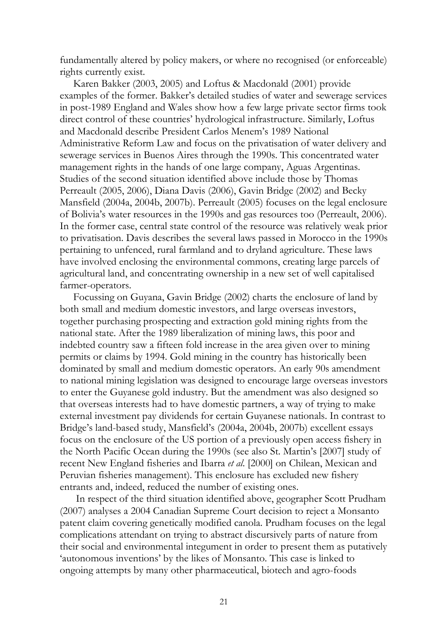fundamentally altered by policy makers, or where no recognised (or enforceable) rights currently exist.

Karen Bakker (2003, 2005) and Loftus & Macdonald (2001) provide examples of the former. Bakker's detailed studies of water and sewerage services in post-1989 England and Wales show how a few large private sector firms took direct control of these countries' hydrological infrastructure. Similarly, Loftus and Macdonald describe President Carlos Menem's 1989 National Administrative Reform Law and focus on the privatisation of water delivery and sewerage services in Buenos Aires through the 1990s. This concentrated water management rights in the hands of one large company, Aguas Argentinas. Studies of the second situation identified above include those by Thomas Perreault (2005, 2006), Diana Davis (2006), Gavin Bridge (2002) and Becky Mansfield (2004a, 2004b, 2007b). Perreault (2005) focuses on the legal enclosure of Bolivia's water resources in the 1990s and gas resources too (Perreault, 2006). In the former case, central state control of the resource was relatively weak prior to privatisation. Davis describes the several laws passed in Morocco in the 1990s pertaining to unfenced, rural farmland and to dryland agriculture. These laws have involved enclosing the environmental commons, creating large parcels of agricultural land, and concentrating ownership in a new set of well capitalised farmer-operators.

Focussing on Guyana, Gavin Bridge (2002) charts the enclosure of land by both small and medium domestic investors, and large overseas investors, together purchasing prospecting and extraction gold mining rights from the national state. After the 1989 liberalization of mining laws, this poor and indebted country saw a fifteen fold increase in the area given over to mining permits or claims by 1994. Gold mining in the country has historically been dominated by small and medium domestic operators. An early 90s amendment to national mining legislation was designed to encourage large overseas investors to enter the Guyanese gold industry. But the amendment was also designed so that overseas interests had to have domestic partners, a way of trying to make external investment pay dividends for certain Guyanese nationals. In contrast to Bridge's land-based study, Mansfield's (2004a, 2004b, 2007b) excellent essays focus on the enclosure of the US portion of a previously open access fishery in the North Pacific Ocean during the 1990s (see also St. Martin's [2007] study of recent New England fisheries and Ibarra *et al*. [2000] on Chilean, Mexican and Peruvian fisheries management). This enclosure has excluded new fishery entrants and, indeed, reduced the number of existing ones.

In respect of the third situation identified above, geographer Scott Prudham (2007) analyses a 2004 Canadian Supreme Court decision to reject a Monsanto patent claim covering genetically modified canola. Prudham focuses on the legal complications attendant on trying to abstract discursively parts of nature from their social and environmental integument in order to present them as putatively 'autonomous inventions' by the likes of Monsanto. This case is linked to ongoing attempts by many other pharmaceutical, biotech and agro-foods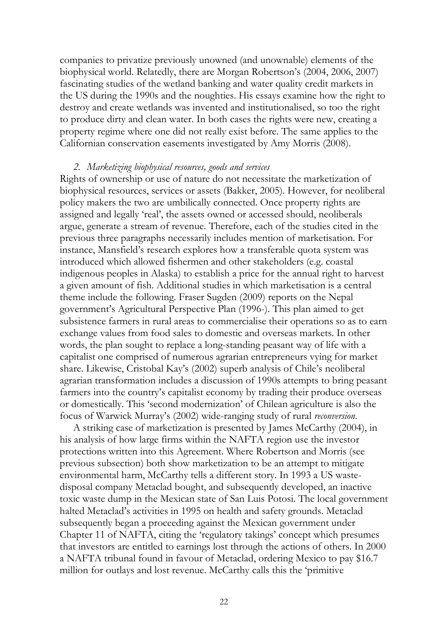companies to privatize previously unowned (and unownable) elements of the biophysical world. Relatedly, there are Morgan Robertson's (2004, 2006, 2007) fascinating studies of the wetland banking and water quality credit markets in the US during the 1990s and the noughties. His essays examine how the right to destroy and create wetlands was invented and institutionalised, so too the right to produce dirty and clean water. In both cases the rights were new, creating a property regime where one did not really exist before. The same applies to the Californian conservation easements investigated by Amy Morris (2008).

#### *2. Marketizing biophysical resources, goods and services*

Rights of ownership or use of nature do not necessitate the marketization of biophysical resources, services or assets (Bakker, 2005). However, for neoliberal policy makers the two are umbilically connected. Once property rights are assigned and legally 'real', the assets owned or accessed should, neoliberals argue, generate a stream of revenue. Therefore, each of the studies cited in the previous three paragraphs necessarily includes mention of marketisation. For instance, Mansfield's research explores how a transferable quota system was introduced which allowed fishermen and other stakeholders (e.g. coastal indigenous peoples in Alaska) to establish a price for the annual right to harvest a given amount of fish. Additional studies in which marketisation is a central theme include the following. Fraser Sugden (2009) reports on the Nepal government's Agricultural Perspective Plan (1996-). This plan aimed to get subsistence farmers in rural areas to commercialise their operations so as to earn exchange values from food sales to domestic and overseas markets. In other words, the plan sought to replace a long-standing peasant way of life with a capitalist one comprised of numerous agrarian entrepreneurs vying for market share. Likewise, Cristobal Kay's (2002) superb analysis of Chile's neoliberal agrarian transformation includes a discussion of 1990s attempts to bring peasant farmers into the country's capitalist economy by trading their produce overseas or domestically. This 'second modernization' of Chilean agriculture is also the focus of Warwick Murray's (2002) wide-ranging study of rural *reconversion*.

A striking case of marketization is presented by James McCarthy (2004), in his analysis of how large firms within the NAFTA region use the investor protections written into this Agreement. Where Robertson and Morris (see previous subsection) both show marketization to be an attempt to mitigate environmental harm, McCarthy tells a different story. In 1993 a US wastedisposal company Metaclad bought, and subsequently developed, an inactive toxic waste dump in the Mexican state of San Luis Potosi. The local government halted Metaclad's activities in 1995 on health and safety grounds. Metaclad subsequently began a proceeding against the Mexican government under Chapter 11 of NAFTA, citing the 'regulatory takings' concept which presumes that investors are entitled to earnings lost through the actions of others. In 2000 a NAFTA tribunal found in favour of Metaclad, ordering Mexico to pay \$16.7 million for outlays and lost revenue. McCarthy calls this the 'primitive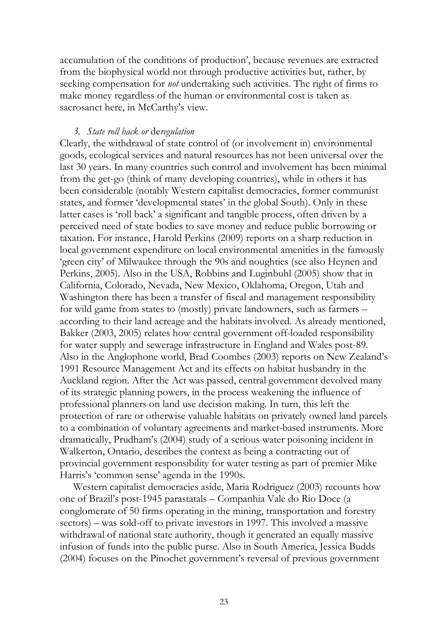accumulation of the conditions of production', because revenues are extracted from the biophysical world not through productive activities but, rather, by seeking compensation for *not* undertaking such activities. The right of firms to make money regardless of the human or environmental cost is taken as sacrosanct here, in McCarthy's view.

#### *3. State roll back or* de*regulation*

Clearly, the withdrawal of state control of (or involvement in) environmental goods, ecological services and natural resources has not been universal over the last 30 years. In many countries such control and involvement has been minimal from the get-go (think of many developing countries), while in others it has been considerable (notably Western capitalist democracies, former communist states, and former 'developmental states' in the global South). Only in these latter cases is 'roll back' a significant and tangible process, often driven by a perceived need of state bodies to save money and reduce public borrowing or taxation. For instance, Harold Perkins (2009) reports on a sharp reduction in local government expenditure on local environmental amenities in the famously 'green city' of Milwaukee through the 90s and noughties (see also Heynen and Perkins, 2005). Also in the USA, Robbins and Luginbuhl (2005) show that in California, Colorado, Nevada, New Mexico, Oklahoma, Oregon, Utah and Washington there has been a transfer of fiscal and management responsibility for wild game from states to (mostly) private landowners, such as farmers – according to their land acreage and the habitats involved. As already mentioned, Bakker (2003, 2005) relates how central government off-loaded responsibility for water supply and sewerage infrastructure in England and Wales post-89. Also in the Anglophone world, Brad Coombes (2003) reports on New Zealand's 1991 Resource Management Act and its effects on habitat husbandry in the Auckland region. After the Act was passed, central government devolved many of its strategic planning powers, in the process weakening the influence of professional planners on land use decision making. In turn, this left the protection of rare or otherwise valuable habitats on privately owned land parcels to a combination of voluntary agreements and market-based instruments. More dramatically, Prudham's (2004) study of a serious water poisoning incident in Walkerton, Ontario, describes the context as being a contracting out of provincial government responsibility for water testing as part of premier Mike Harris's 'common sense' agenda in the 1990s.

Western capitalist democracies aside, Maria Rodriguez (2003) recounts how one of Brazil's post-1945 parastatals – Companhia Vale do Rio Doce (a conglomerate of 50 firms operating in the mining, transportation and forestry sectors) – was sold-off to private investors in 1997. This involved a massive withdrawal of national state authority, though it generated an equally massive infusion of funds into the public purse. Also in South America, Jessica Budds (2004) focuses on the Pinochet government's reversal of previous government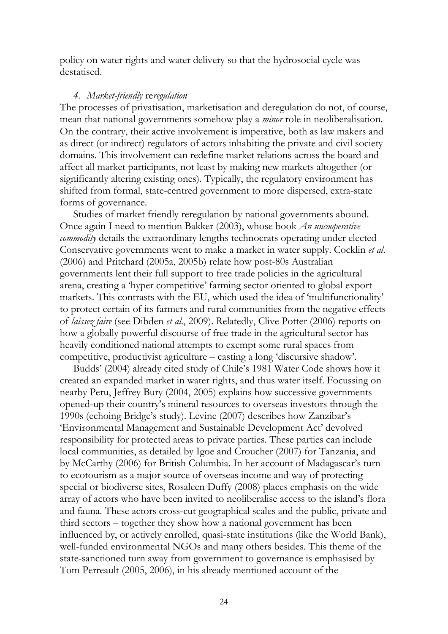policy on water rights and water delivery so that the hydrosocial cycle was destatised.

#### *4. Market-friendly* re*regulation*

The processes of privatisation, marketisation and deregulation do not, of course, mean that national governments somehow play a *minor* role in neoliberalisation. On the contrary, their active involvement is imperative, both as law makers and as direct (or indirect) regulators of actors inhabiting the private and civil society domains. This involvement can redefine market relations across the board and affect all market participants, not least by making new markets altogether (or significantly altering existing ones). Typically, the regulatory environment has shifted from formal, state-centred government to more dispersed, extra-state forms of governance.

Studies of market friendly reregulation by national governments abound. Once again I need to mention Bakker (2003), whose book *An uncooperative commodity* details the extraordinary lengths technocrats operating under elected Conservative governments went to make a market in water supply. Cocklin *et al*. (2006) and Pritchard (2005a, 2005b) relate how post-80s Australian governments lent their full support to free trade policies in the agricultural arena, creating a 'hyper competitive' farming sector oriented to global export markets. This contrasts with the EU, which used the idea of 'multifunctionality' to protect certain of its farmers and rural communities from the negative effects of *laissez faire* (see Dibden *et al*., 2009). Relatedly, Clive Potter (2006) reports on how a globally powerful discourse of free trade in the agricultural sector has heavily conditioned national attempts to exempt some rural spaces from competitive, productivist agriculture – casting a long 'discursive shadow'.

Budds' (2004) already cited study of Chile's 1981 Water Code shows how it created an expanded market in water rights, and thus water itself. Focussing on nearby Peru, Jeffrey Bury (2004, 2005) explains how successive governments opened-up their country's mineral resources to overseas investors through the 1990s (echoing Bridge's study). Levine (2007) describes how Zanzibar's 'Environmental Management and Sustainable Development Act' devolved responsibility for protected areas to private parties. These parties can include local communities, as detailed by Igoe and Croucher (2007) for Tanzania, and by McCarthy (2006) for British Columbia. In her account of Madagascar's turn to ecotourism as a major source of overseas income and way of protecting special or biodiverse sites, Rosaleen Duffy (2008) places emphasis on the wide array of actors who have been invited to neoliberalise access to the island's flora and fauna. These actors cross-cut geographical scales and the public, private and third sectors – together they show how a national government has been influenced by, or actively enrolled, quasi-state institutions (like the World Bank), well-funded environmental NGOs and many others besides. This theme of the state-sanctioned turn away from government to governance is emphasised by Tom Perreault (2005, 2006), in his already mentioned account of the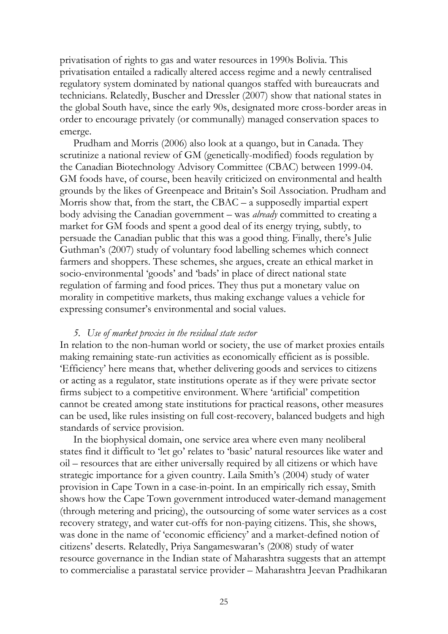privatisation of rights to gas and water resources in 1990s Bolivia. This privatisation entailed a radically altered access regime and a newly centralised regulatory system dominated by national quangos staffed with bureaucrats and technicians. Relatedly, Buscher and Dressler (2007) show that national states in the global South have, since the early 90s, designated more cross-border areas in order to encourage privately (or communally) managed conservation spaces to emerge.

Prudham and Morris (2006) also look at a quango, but in Canada. They scrutinize a national review of GM (genetically-modified) foods regulation by the Canadian Biotechnology Advisory Committee (CBAC) between 1999-04. GM foods have, of course, been heavily criticized on environmental and health grounds by the likes of Greenpeace and Britain's Soil Association. Prudham and Morris show that, from the start, the CBAC – a supposedly impartial expert body advising the Canadian government – was *already* committed to creating a market for GM foods and spent a good deal of its energy trying, subtly, to persuade the Canadian public that this was a good thing. Finally, there's Julie Guthman's (2007) study of voluntary food labelling schemes which connect farmers and shoppers. These schemes, she argues, create an ethical market in socio-environmental 'goods' and 'bads' in place of direct national state regulation of farming and food prices. They thus put a monetary value on morality in competitive markets, thus making exchange values a vehicle for expressing consumer's environmental and social values.

#### *5. Use of market proxies in the residual state sector*

In relation to the non-human world or society, the use of market proxies entails making remaining state-run activities as economically efficient as is possible. 'Efficiency' here means that, whether delivering goods and services to citizens or acting as a regulator, state institutions operate as if they were private sector firms subject to a competitive environment. Where 'artificial' competition cannot be created among state institutions for practical reasons, other measures can be used, like rules insisting on full cost-recovery, balanced budgets and high standards of service provision.

In the biophysical domain, one service area where even many neoliberal states find it difficult to 'let go' relates to 'basic' natural resources like water and oil – resources that are either universally required by all citizens or which have strategic importance for a given country. Laila Smith's (2004) study of water provision in Cape Town in a case-in-point. In an empirically rich essay, Smith shows how the Cape Town government introduced water-demand management (through metering and pricing), the outsourcing of some water services as a cost recovery strategy, and water cut-offs for non-paying citizens. This, she shows, was done in the name of 'economic efficiency' and a market-defined notion of citizens' deserts. Relatedly, Priya Sangameswaran's (2008) study of water resource governance in the Indian state of Maharashtra suggests that an attempt to commercialise a parastatal service provider – Maharashtra Jeevan Pradhikaran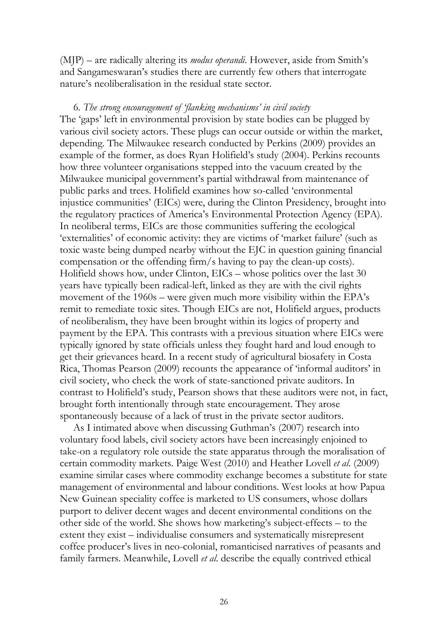(MJP) – are radically altering its *modus operandi*. However, aside from Smith's and Sangameswaran's studies there are currently few others that interrogate nature's neoliberalisation in the residual state sector.

#### 6*. The strong encouragement of 'flanking mechanisms' in civil society*

The 'gaps' left in environmental provision by state bodies can be plugged by various civil society actors. These plugs can occur outside or within the market, depending. The Milwaukee research conducted by Perkins (2009) provides an example of the former, as does Ryan Holifield's study (2004). Perkins recounts how three volunteer organisations stepped into the vacuum created by the Milwaukee municipal government's partial withdrawal from maintenance of public parks and trees. Holifield examines how so-called 'environmental injustice communities' (EICs) were, during the Clinton Presidency, brought into the regulatory practices of America's Environmental Protection Agency (EPA). In neoliberal terms, EICs are those communities suffering the ecological 'externalities' of economic activity: they are victims of 'market failure' (such as toxic waste being dumped nearby without the EJC in question gaining financial compensation or the offending firm/s having to pay the clean-up costs). Holifield shows how, under Clinton, EICs – whose politics over the last 30 years have typically been radical-left, linked as they are with the civil rights movement of the 1960s – were given much more visibility within the EPA's remit to remediate toxic sites. Though EICs are not, Holifield argues, products of neoliberalism, they have been brought within its logics of property and payment by the EPA. This contrasts with a previous situation where EICs were typically ignored by state officials unless they fought hard and loud enough to get their grievances heard. In a recent study of agricultural biosafety in Costa Rica, Thomas Pearson (2009) recounts the appearance of 'informal auditors' in civil society, who check the work of state-sanctioned private auditors. In contrast to Holifield's study, Pearson shows that these auditors were not, in fact, brought forth intentionally through state encouragement. They arose spontaneously because of a lack of trust in the private sector auditors.

As I intimated above when discussing Guthman's (2007) research into voluntary food labels, civil society actors have been increasingly enjoined to take-on a regulatory role outside the state apparatus through the moralisation of certain commodity markets. Paige West (2010) and Heather Lovell *et al*. (2009) examine similar cases where commodity exchange becomes a substitute for state management of environmental and labour conditions. West looks at how Papua New Guinean speciality coffee is marketed to US consumers, whose dollars purport to deliver decent wages and decent environmental conditions on the other side of the world. She shows how marketing's subject-effects – to the extent they exist – individualise consumers and systematically misrepresent coffee producer's lives in neo-colonial, romanticised narratives of peasants and family farmers. Meanwhile, Lovell *et al*. describe the equally contrived ethical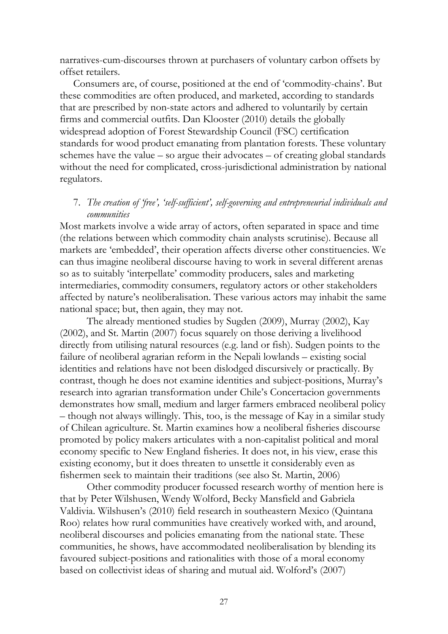narratives-cum-discourses thrown at purchasers of voluntary carbon offsets by offset retailers.

Consumers are, of course, positioned at the end of 'commodity-chains'. But these commodities are often produced, and marketed, according to standards that are prescribed by non-state actors and adhered to voluntarily by certain firms and commercial outfits. Dan Klooster (2010) details the globally widespread adoption of Forest Stewardship Council (FSC) certification standards for wood product emanating from plantation forests. These voluntary schemes have the value – so argue their advocates – of creating global standards without the need for complicated, cross-jurisdictional administration by national regulators.

## 7. *The creation of 'free', 'self-sufficient', self-governing and entrepreneurial individuals and communities*

Most markets involve a wide array of actors, often separated in space and time (the relations between which commodity chain analysts scrutinise). Because all markets are 'embedded', their operation affects diverse other constituencies. We can thus imagine neoliberal discourse having to work in several different arenas so as to suitably 'interpellate' commodity producers, sales and marketing intermediaries, commodity consumers, regulatory actors or other stakeholders affected by nature's neoliberalisation. These various actors may inhabit the same national space; but, then again, they may not.

The already mentioned studies by Sugden (2009), Murray (2002), Kay (2002), and St. Martin (2007) focus squarely on those deriving a livelihood directly from utilising natural resources (e.g. land or fish). Sudgen points to the failure of neoliberal agrarian reform in the Nepali lowlands – existing social identities and relations have not been dislodged discursively or practically. By contrast, though he does not examine identities and subject-positions, Murray's research into agrarian transformation under Chile's Concertacion governments demonstrates how small, medium and larger farmers embraced neoliberal policy – though not always willingly. This, too, is the message of Kay in a similar study of Chilean agriculture. St. Martin examines how a neoliberal fisheries discourse promoted by policy makers articulates with a non-capitalist political and moral economy specific to New England fisheries. It does not, in his view, erase this existing economy, but it does threaten to unsettle it considerably even as fishermen seek to maintain their traditions (see also St. Martin, 2006)

Other commodity producer focussed research worthy of mention here is that by Peter Wilshusen, Wendy Wolford, Becky Mansfield and Gabriela Valdivia. Wilshusen's (2010) field research in southeastern Mexico (Quintana Roo) relates how rural communities have creatively worked with, and around, neoliberal discourses and policies emanating from the national state. These communities, he shows, have accommodated neoliberalisation by blending its favoured subject-positions and rationalities with those of a moral economy based on collectivist ideas of sharing and mutual aid. Wolford's (2007)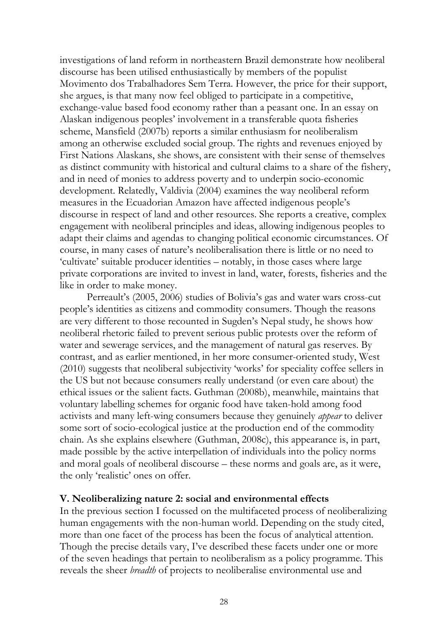investigations of land reform in northeastern Brazil demonstrate how neoliberal discourse has been utilised enthusiastically by members of the populist Movimento dos Trabalhadores Sem Terra. However, the price for their support, she argues, is that many now feel obliged to participate in a competitive, exchange-value based food economy rather than a peasant one. In an essay on Alaskan indigenous peoples' involvement in a transferable quota fisheries scheme, Mansfield (2007b) reports a similar enthusiasm for neoliberalism among an otherwise excluded social group. The rights and revenues enjoyed by First Nations Alaskans, she shows, are consistent with their sense of themselves as distinct community with historical and cultural claims to a share of the fishery, and in need of monies to address poverty and to underpin socio-economic development. Relatedly, Valdivia (2004) examines the way neoliberal reform measures in the Ecuadorian Amazon have affected indigenous people's discourse in respect of land and other resources. She reports a creative, complex engagement with neoliberal principles and ideas, allowing indigenous peoples to adapt their claims and agendas to changing political economic circumstances. Of course, in many cases of nature's neoliberalisation there is little or no need to 'cultivate' suitable producer identities – notably, in those cases where large private corporations are invited to invest in land, water, forests, fisheries and the like in order to make money.

Perreault's (2005, 2006) studies of Bolivia's gas and water wars cross-cut people's identities as citizens and commodity consumers. Though the reasons are very different to those recounted in Sugden's Nepal study, he shows how neoliberal rhetoric failed to prevent serious public protests over the reform of water and sewerage services, and the management of natural gas reserves. By contrast, and as earlier mentioned, in her more consumer-oriented study, West (2010) suggests that neoliberal subjectivity 'works' for speciality coffee sellers in the US but not because consumers really understand (or even care about) the ethical issues or the salient facts. Guthman (2008b), meanwhile, maintains that voluntary labelling schemes for organic food have taken-hold among food activists and many left-wing consumers because they genuinely *appear* to deliver some sort of socio-ecological justice at the production end of the commodity chain. As she explains elsewhere (Guthman, 2008c), this appearance is, in part, made possible by the active interpellation of individuals into the policy norms and moral goals of neoliberal discourse – these norms and goals are, as it were, the only 'realistic' ones on offer.

## **V. Neoliberalizing nature 2: social and environmental effects**

In the previous section I focussed on the multifaceted process of neoliberalizing human engagements with the non-human world. Depending on the study cited, more than one facet of the process has been the focus of analytical attention. Though the precise details vary, I've described these facets under one or more of the seven headings that pertain to neoliberalism as a policy programme. This reveals the sheer *breadth* of projects to neoliberalise environmental use and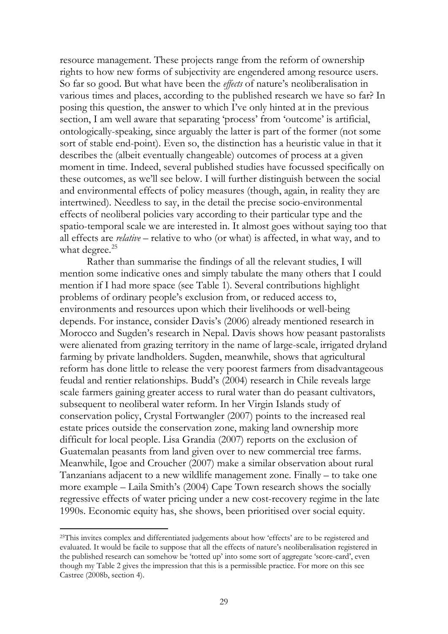resource management. These projects range from the reform of ownership rights to how new forms of subjectivity are engendered among resource users. So far so good. But what have been the *effects* of nature's neoliberalisation in various times and places, according to the published research we have so far? In posing this question, the answer to which I've only hinted at in the previous section, I am well aware that separating 'process' from 'outcome' is artificial, ontologically-speaking, since arguably the latter is part of the former (not some sort of stable end-point). Even so, the distinction has a heuristic value in that it describes the (albeit eventually changeable) outcomes of process at a given moment in time. Indeed, several published studies have focussed specifically on these outcomes, as we'll see below. I will further distinguish between the social and environmental effects of policy measures (though, again, in reality they are intertwined). Needless to say, in the detail the precise socio-environmental effects of neoliberal policies vary according to their particular type and the spatio-temporal scale we are interested in. It almost goes without saying too that all effects are *relative* – relative to who (or what) is affected, in what way, and to what degree. $25$ 

Rather than summarise the findings of all the relevant studies, I will mention some indicative ones and simply tabulate the many others that I could mention if I had more space (see Table 1). Several contributions highlight problems of ordinary people's exclusion from, or reduced access to, environments and resources upon which their livelihoods or well-being depends. For instance, consider Davis's (2006) already mentioned research in Morocco and Sugden's research in Nepal. Davis shows how peasant pastoralists were alienated from grazing territory in the name of large-scale, irrigated dryland farming by private landholders. Sugden, meanwhile, shows that agricultural reform has done little to release the very poorest farmers from disadvantageous feudal and rentier relationships. Budd's (2004) research in Chile reveals large scale farmers gaining greater access to rural water than do peasant cultivators, subsequent to neoliberal water reform. In her Virgin Islands study of conservation policy, Crystal Fortwangler (2007) points to the increased real estate prices outside the conservation zone, making land ownership more difficult for local people. Lisa Grandia (2007) reports on the exclusion of Guatemalan peasants from land given over to new commercial tree farms. Meanwhile, Igoe and Croucher (2007) make a similar observation about rural Tanzanians adjacent to a new wildlife management zone. Finally – to take one more example – Laila Smith's (2004) Cape Town research shows the socially regressive effects of water pricing under a new cost-recovery regime in the late 1990s. Economic equity has, she shows, been prioritised over social equity.

<span id="page-30-0"></span><sup>&</sup>lt;sup>25</sup>This invites complex and differentiated judgements about how 'effects' are to be registered and evaluated. It would be facile to suppose that all the effects of nature's neoliberalisation registered in the published research can somehow be 'totted up' into some sort of aggregate 'score-card', even though my Table 2 gives the impression that this is a permissible practice. For more on this see Castree (2008b, section 4).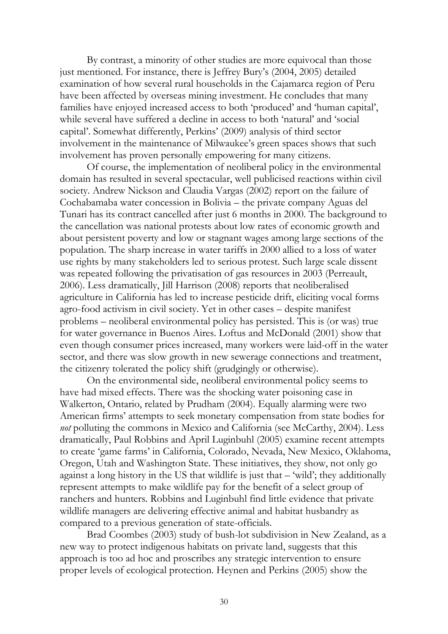By contrast, a minority of other studies are more equivocal than those just mentioned. For instance, there is Jeffrey Bury's (2004, 2005) detailed examination of how several rural households in the Cajamarca region of Peru have been affected by overseas mining investment. He concludes that many families have enjoyed increased access to both 'produced' and 'human capital', while several have suffered a decline in access to both 'natural' and 'social capital'. Somewhat differently, Perkins' (2009) analysis of third sector involvement in the maintenance of Milwaukee's green spaces shows that such involvement has proven personally empowering for many citizens.

Of course, the implementation of neoliberal policy in the environmental domain has resulted in several spectacular, well publicised reactions within civil society. Andrew Nickson and Claudia Vargas (2002) report on the failure of Cochabamaba water concession in Bolivia – the private company Aguas del Tunari has its contract cancelled after just 6 months in 2000. The background to the cancellation was national protests about low rates of economic growth and about persistent poverty and low or stagnant wages among large sections of the population. The sharp increase in water tariffs in 2000 allied to a loss of water use rights by many stakeholders led to serious protest. Such large scale dissent was repeated following the privatisation of gas resources in 2003 (Perreault, 2006). Less dramatically, Jill Harrison (2008) reports that neoliberalised agriculture in California has led to increase pesticide drift, eliciting vocal forms agro-food activism in civil society. Yet in other cases – despite manifest problems – neoliberal environmental policy has persisted. This is (or was) true for water governance in Buenos Aires. Loftus and McDonald (2001) show that even though consumer prices increased, many workers were laid-off in the water sector, and there was slow growth in new sewerage connections and treatment, the citizenry tolerated the policy shift (grudgingly or otherwise).

On the environmental side, neoliberal environmental policy seems to have had mixed effects. There was the shocking water poisoning case in Walkerton, Ontario, related by Prudham (2004). Equally alarming were two American firms' attempts to seek monetary compensation from state bodies for *not* polluting the commons in Mexico and California (see McCarthy, 2004). Less dramatically, Paul Robbins and April Luginbuhl (2005) examine recent attempts to create 'game farms' in California, Colorado, Nevada, New Mexico, Oklahoma, Oregon, Utah and Washington State. These initiatives, they show, not only go against a long history in the US that wildlife is just that – 'wild'; they additionally represent attempts to make wildlife pay for the benefit of a select group of ranchers and hunters. Robbins and Luginbuhl find little evidence that private wildlife managers are delivering effective animal and habitat husbandry as compared to a previous generation of state-officials.

Brad Coombes (2003) study of bush-lot subdivision in New Zealand, as a new way to protect indigenous habitats on private land, suggests that this approach is too ad hoc and proscribes any strategic intervention to ensure proper levels of ecological protection. Heynen and Perkins (2005) show the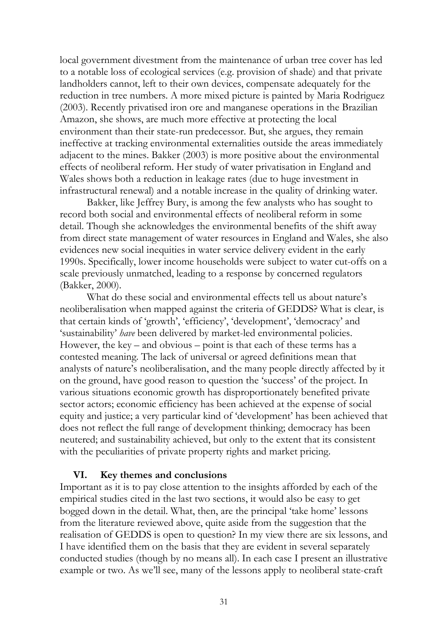local government divestment from the maintenance of urban tree cover has led to a notable loss of ecological services (e.g. provision of shade) and that private landholders cannot, left to their own devices, compensate adequately for the reduction in tree numbers. A more mixed picture is painted by Maria Rodriguez (2003). Recently privatised iron ore and manganese operations in the Brazilian Amazon, she shows, are much more effective at protecting the local environment than their state-run predecessor. But, she argues, they remain ineffective at tracking environmental externalities outside the areas immediately adjacent to the mines. Bakker (2003) is more positive about the environmental effects of neoliberal reform. Her study of water privatisation in England and Wales shows both a reduction in leakage rates (due to huge investment in infrastructural renewal) and a notable increase in the quality of drinking water.

Bakker, like Jeffrey Bury, is among the few analysts who has sought to record both social and environmental effects of neoliberal reform in some detail. Though she acknowledges the environmental benefits of the shift away from direct state management of water resources in England and Wales, she also evidences new social inequities in water service delivery evident in the early 1990s. Specifically, lower income households were subject to water cut-offs on a scale previously unmatched, leading to a response by concerned regulators (Bakker, 2000).

What do these social and environmental effects tell us about nature's neoliberalisation when mapped against the criteria of GEDDS? What is clear, is that certain kinds of 'growth', 'efficiency', 'development', 'democracy' and 'sustainability' *have* been delivered by market-led environmental policies. However, the key – and obvious – point is that each of these terms has a contested meaning. The lack of universal or agreed definitions mean that analysts of nature's neoliberalisation, and the many people directly affected by it on the ground, have good reason to question the 'success' of the project. In various situations economic growth has disproportionately benefited private sector actors; economic efficiency has been achieved at the expense of social equity and justice; a very particular kind of 'development' has been achieved that does not reflect the full range of development thinking; democracy has been neutered; and sustainability achieved, but only to the extent that its consistent with the peculiarities of private property rights and market pricing.

## **VI. Key themes and conclusions**

Important as it is to pay close attention to the insights afforded by each of the empirical studies cited in the last two sections, it would also be easy to get bogged down in the detail. What, then, are the principal 'take home' lessons from the literature reviewed above, quite aside from the suggestion that the realisation of GEDDS is open to question? In my view there are six lessons, and I have identified them on the basis that they are evident in several separately conducted studies (though by no means all). In each case I present an illustrative example or two. As we'll see, many of the lessons apply to neoliberal state-craft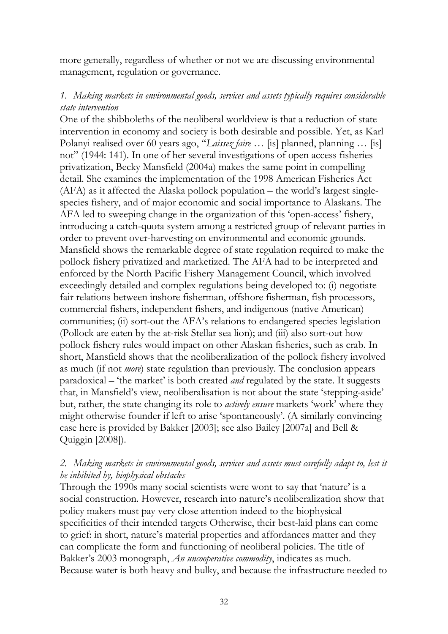more generally, regardless of whether or not we are discussing environmental management, regulation or governance.

## *1. Making markets in environmental goods, services and assets typically requires considerable state intervention*

One of the shibboleths of the neoliberal worldview is that a reduction of state intervention in economy and society is both desirable and possible. Yet, as Karl Polanyi realised over 60 years ago, "*Laissez faire* … [is] planned, planning … [is] not" (1944: 141). In one of her several investigations of open access fisheries privatization, Becky Mansfield (2004a) makes the same point in compelling detail. She examines the implementation of the 1998 American Fisheries Act (AFA) as it affected the Alaska pollock population – the world's largest singlespecies fishery, and of major economic and social importance to Alaskans. The AFA led to sweeping change in the organization of this 'open-access' fishery, introducing a catch-quota system among a restricted group of relevant parties in order to prevent over-harvesting on environmental and economic grounds. Mansfield shows the remarkable degree of state regulation required to make the pollock fishery privatized and marketized. The AFA had to be interpreted and enforced by the North Pacific Fishery Management Council, which involved exceedingly detailed and complex regulations being developed to: (i) negotiate fair relations between inshore fisherman, offshore fisherman, fish processors, commercial fishers, independent fishers, and indigenous (native American) communities; (ii) sort-out the AFA's relations to endangered species legislation (Pollock are eaten by the at-risk Stellar sea lion); and (iii) also sort-out how pollock fishery rules would impact on other Alaskan fisheries, such as crab. In short, Mansfield shows that the neoliberalization of the pollock fishery involved as much (if not *more*) state regulation than previously. The conclusion appears paradoxical – 'the market' is both created *and* regulated by the state. It suggests that, in Mansfield's view, neoliberalisation is not about the state 'stepping-aside' but, rather, the state changing its role to *actively ensure* markets 'work' where they might otherwise founder if left to arise 'spontaneously'. (A similarly convincing case here is provided by Bakker [2003]; see also Bailey [2007a] and Bell & Quiggin [2008]).

## *2. Making markets in environmental goods, services and assets must carefully adapt to, lest it be inhibited by, biophysical obstacles*

Through the 1990s many social scientists were wont to say that 'nature' is a social construction. However, research into nature's neoliberalization show that policy makers must pay very close attention indeed to the biophysical specificities of their intended targets Otherwise, their best-laid plans can come to grief: in short, nature's material properties and affordances matter and they can complicate the form and functioning of neoliberal policies. The title of Bakker's 2003 monograph, *An uncooperative commodity*, indicates as much. Because water is both heavy and bulky, and because the infrastructure needed to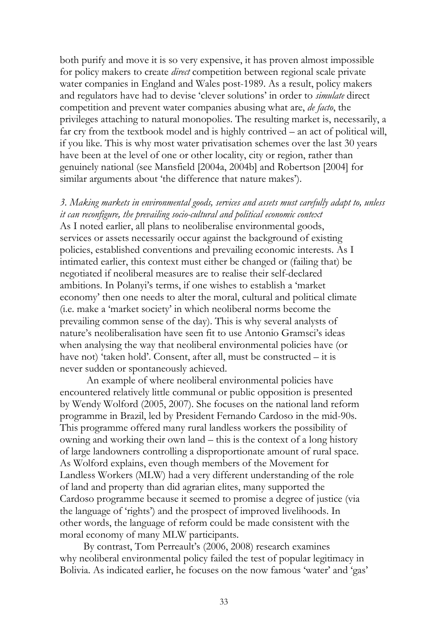both purify and move it is so very expensive, it has proven almost impossible for policy makers to create *direct* competition between regional scale private water companies in England and Wales post-1989. As a result, policy makers and regulators have had to devise 'clever solutions' in order to *simulate* direct competition and prevent water companies abusing what are, *de facto*, the privileges attaching to natural monopolies. The resulting market is, necessarily, a far cry from the textbook model and is highly contrived – an act of political will, if you like. This is why most water privatisation schemes over the last 30 years have been at the level of one or other locality, city or region, rather than genuinely national (see Mansfield [2004a, 2004b] and Robertson [2004] for similar arguments about 'the difference that nature makes').

*3. Making markets in environmental goods, services and assets must carefully adapt to, unless it can reconfigure, the prevailing socio-cultural and political economic context* As I noted earlier, all plans to neoliberalise environmental goods, services or assets necessarily occur against the background of existing policies, established conventions and prevailing economic interests. As I intimated earlier, this context must either be changed or (failing that) be negotiated if neoliberal measures are to realise their self-declared ambitions. In Polanyi's terms, if one wishes to establish a 'market economy' then one needs to alter the moral, cultural and political climate (i.e. make a 'market society' in which neoliberal norms become the prevailing common sense of the day). This is why several analysts of nature's neoliberalisation have seen fit to use Antonio Gramsci's ideas when analysing the way that neoliberal environmental policies have (or have not) 'taken hold'. Consent, after all, must be constructed – it is never sudden or spontaneously achieved.

An example of where neoliberal environmental policies have encountered relatively little communal or public opposition is presented by Wendy Wolford (2005, 2007). She focuses on the national land reform programme in Brazil, led by President Fernando Cardoso in the mid-90s. This programme offered many rural landless workers the possibility of owning and working their own land – this is the context of a long history of large landowners controlling a disproportionate amount of rural space. As Wolford explains, even though members of the Movement for Landless Workers (MLW) had a very different understanding of the role of land and property than did agrarian elites, many supported the Cardoso programme because it seemed to promise a degree of justice (via the language of 'rights') and the prospect of improved livelihoods. In other words, the language of reform could be made consistent with the moral economy of many MLW participants.

 By contrast, Tom Perreault's (2006, 2008) research examines why neoliberal environmental policy failed the test of popular legitimacy in Bolivia. As indicated earlier, he focuses on the now famous 'water' and 'gas'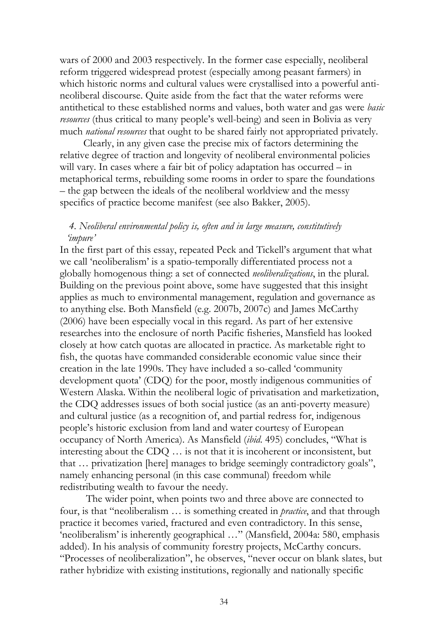wars of 2000 and 2003 respectively. In the former case especially, neoliberal reform triggered widespread protest (especially among peasant farmers) in which historic norms and cultural values were crystallised into a powerful antineoliberal discourse. Quite aside from the fact that the water reforms were antithetical to these established norms and values, both water and gas were *basic resources* (thus critical to many people's well-being) and seen in Bolivia as very much *national resources* that ought to be shared fairly not appropriated privately.

 Clearly, in any given case the precise mix of factors determining the relative degree of traction and longevity of neoliberal environmental policies will vary. In cases where a fair bit of policy adaptation has occurred – in metaphorical terms, rebuilding some rooms in order to spare the foundations – the gap between the ideals of the neoliberal worldview and the messy specifics of practice become manifest (see also Bakker, 2005).

## *4. Neoliberal environmental policy is, often and in large measure, constitutively 'impure'*

In the first part of this essay, repeated Peck and Tickell's argument that what we call 'neoliberalism' is a spatio-temporally differentiated process not a globally homogenous thing: a set of connected *neoliberalizations*, in the plural. Building on the previous point above, some have suggested that this insight applies as much to environmental management, regulation and governance as to anything else. Both Mansfield (e.g. 2007b, 2007c) and James McCarthy (2006) have been especially vocal in this regard. As part of her extensive researches into the enclosure of north Pacific fisheries, Mansfield has looked closely at how catch quotas are allocated in practice. As marketable right to fish, the quotas have commanded considerable economic value since their creation in the late 1990s. They have included a so-called 'community development quota' (CDQ) for the poor, mostly indigenous communities of Western Alaska. Within the neoliberal logic of privatisation and marketization, the CDQ addresses issues of both social justice (as an anti-poverty measure) and cultural justice (as a recognition of, and partial redress for, indigenous people's historic exclusion from land and water courtesy of European occupancy of North America). As Mansfield (*ibid*. 495) concludes, "What is interesting about the CDQ … is not that it is incoherent or inconsistent, but that … privatization [here] manages to bridge seemingly contradictory goals", namely enhancing personal (in this case communal) freedom while redistributing wealth to favour the needy.

 The wider point, when points two and three above are connected to four, is that "neoliberalism … is something created in *practice*, and that through practice it becomes varied, fractured and even contradictory. In this sense, 'neoliberalism' is inherently geographical …" (Mansfield, 2004a: 580, emphasis added). In his analysis of community forestry projects, McCarthy concurs. "Processes of neoliberalization", he observes, "never occur on blank slates, but rather hybridize with existing institutions, regionally and nationally specific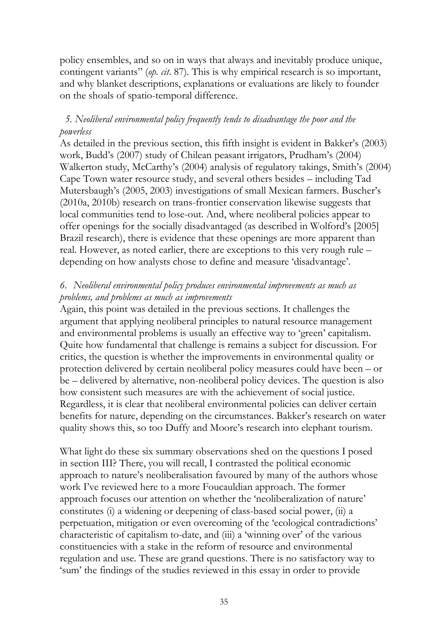policy ensembles, and so on in ways that always and inevitably produce unique, contingent variants" (*op. cit*. 87). This is why empirical research is so important, and why blanket descriptions, explanations or evaluations are likely to founder on the shoals of spatio-temporal difference.

## *5. Neoliberal environmental policy frequently tends to disadvantage the poor and the powerless*

As detailed in the previous section, this fifth insight is evident in Bakker's (2003) work, Budd's (2007) study of Chilean peasant irrigators, Prudham's (2004) Walkerton study, McCarthy's (2004) analysis of regulatory takings, Smith's (2004) Cape Town water resource study, and several others besides – including Tad Mutersbaugh's (2005, 2003) investigations of small Mexican farmers. Buscher's (2010a, 2010b) research on trans-frontier conservation likewise suggests that local communities tend to lose-out. And, where neoliberal policies appear to offer openings for the socially disadvantaged (as described in Wolford's [2005] Brazil research), there is evidence that these openings are more apparent than real. However, as noted earlier, there are exceptions to this very rough rule – depending on how analysts chose to define and measure 'disadvantage'.

## *6. Neoliberal environmental policy produces environmental improvements as much as problems, and problems as much as improvements*

Again, this point was detailed in the previous sections. It challenges the argument that applying neoliberal principles to natural resource management and environmental problems is usually an effective way to 'green' capitalism. Quite how fundamental that challenge is remains a subject for discussion. For critics, the question is whether the improvements in environmental quality or protection delivered by certain neoliberal policy measures could have been – or be – delivered by alternative, non-neoliberal policy devices. The question is also how consistent such measures are with the achievement of social justice. Regardless, it is clear that neoliberal environmental policies can deliver certain benefits for nature, depending on the circumstances. Bakker's research on water quality shows this, so too Duffy and Moore's research into elephant tourism.

What light do these six summary observations shed on the questions I posed in section III? There, you will recall, I contrasted the political economic approach to nature's neoliberalisation favoured by many of the authors whose work I've reviewed here to a more Foucauldian approach. The former approach focuses our attention on whether the 'neoliberalization of nature' constitutes (i) a widening or deepening of class-based social power, (ii) a perpetuation, mitigation or even overcoming of the 'ecological contradictions' characteristic of capitalism to-date, and (iii) a 'winning over' of the various constituencies with a stake in the reform of resource and environmental regulation and use. These are grand questions. There is no satisfactory way to 'sum' the findings of the studies reviewed in this essay in order to provide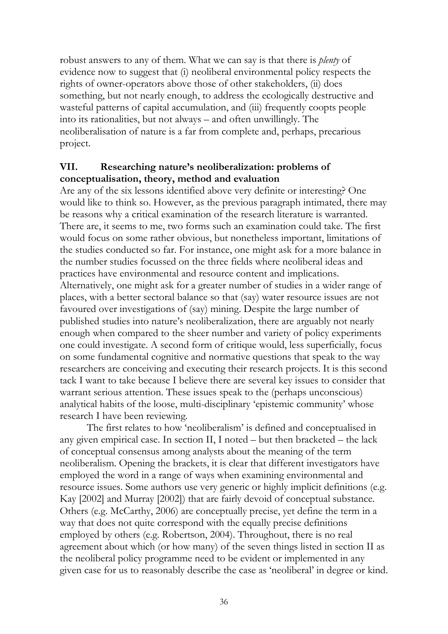robust answers to any of them. What we can say is that there is *plenty* of evidence now to suggest that (i) neoliberal environmental policy respects the rights of owner-operators above those of other stakeholders, (ii) does something, but not nearly enough, to address the ecologically destructive and wasteful patterns of capital accumulation, and (iii) frequently coopts people into its rationalities, but not always – and often unwillingly. The neoliberalisation of nature is a far from complete and, perhaps, precarious project.

## **VII. Researching nature's neoliberalization: problems of conceptualisation, theory, method and evaluation**

Are any of the six lessons identified above very definite or interesting? One would like to think so. However, as the previous paragraph intimated, there may be reasons why a critical examination of the research literature is warranted. There are, it seems to me, two forms such an examination could take. The first would focus on some rather obvious, but nonetheless important, limitations of the studies conducted so far. For instance, one might ask for a more balance in the number studies focussed on the three fields where neoliberal ideas and practices have environmental and resource content and implications. Alternatively, one might ask for a greater number of studies in a wider range of places, with a better sectoral balance so that (say) water resource issues are not favoured over investigations of (say) mining. Despite the large number of published studies into nature's neoliberalization, there are arguably not nearly enough when compared to the sheer number and variety of policy experiments one could investigate. A second form of critique would, less superficially, focus on some fundamental cognitive and normative questions that speak to the way researchers are conceiving and executing their research projects. It is this second tack I want to take because I believe there are several key issues to consider that warrant serious attention. These issues speak to the (perhaps unconscious) analytical habits of the loose, multi-disciplinary 'epistemic community' whose research I have been reviewing.

The first relates to how 'neoliberalism' is defined and conceptualised in any given empirical case. In section II, I noted – but then bracketed – the lack of conceptual consensus among analysts about the meaning of the term neoliberalism. Opening the brackets, it is clear that different investigators have employed the word in a range of ways when examining environmental and resource issues. Some authors use very generic or highly implicit definitions (e.g. Kay [2002] and Murray [2002]) that are fairly devoid of conceptual substance. Others (e.g. McCarthy, 2006) are conceptually precise, yet define the term in a way that does not quite correspond with the equally precise definitions employed by others (e.g. Robertson, 2004). Throughout, there is no real agreement about which (or how many) of the seven things listed in section II as the neoliberal policy programme need to be evident or implemented in any given case for us to reasonably describe the case as 'neoliberal' in degree or kind.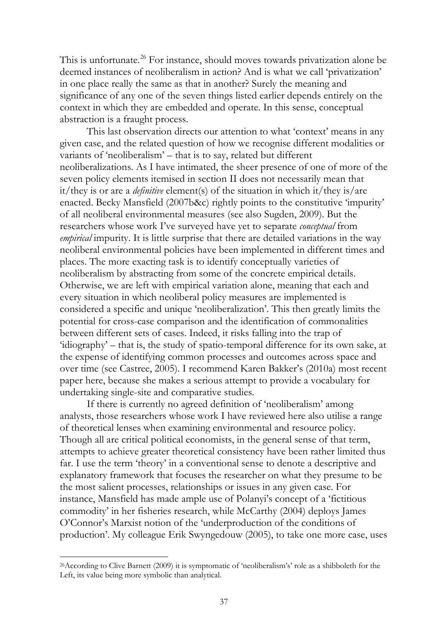This is unfortunate.<sup>[26](#page-30-0)</sup> For instance, should moves towards privatization alone be deemed instances of neoliberalism in action? And is what we call 'privatization' in one place really the same as that in another? Surely the meaning and significance of any one of the seven things listed earlier depends entirely on the context in which they are embedded and operate. In this sense, conceptual abstraction is a fraught process.

This last observation directs our attention to what 'context' means in any given case, and the related question of how we recognise different modalities or variants of 'neoliberalism' – that is to say, related but different neoliberalizations. As I have intimated, the sheer presence of one of more of the seven policy elements itemised in section II does not necessarily mean that it/they is or are a *definitive* element(s) of the situation in which it/they is/are enacted. Becky Mansfield (2007b&c) rightly points to the constitutive 'impurity' of all neoliberal environmental measures (see also Sugden, 2009). But the researchers whose work I've surveyed have yet to separate *conceptual* from *empirical* impurity. It is little surprise that there are detailed variations in the way neoliberal environmental policies have been implemented in different times and places. The more exacting task is to identify conceptually varieties of neoliberalism by abstracting from some of the concrete empirical details. Otherwise, we are left with empirical variation alone, meaning that each and every situation in which neoliberal policy measures are implemented is considered a specific and unique 'neoliberalization'. This then greatly limits the potential for cross-case comparison and the identification of commonalities between different sets of cases. Indeed, it risks falling into the trap of 'idiography' – that is, the study of spatio-temporal difference for its own sake, at the expense of identifying common processes and outcomes across space and over time (see Castree, 2005). I recommend Karen Bakker's (2010a) most recent paper here, because she makes a serious attempt to provide a vocabulary for undertaking single-site and comparative studies.

If there is currently no agreed definition of 'neoliberalism' among analysts, those researchers whose work I have reviewed here also utilise a range of theoretical lenses when examining environmental and resource policy. Though all are critical political economists, in the general sense of that term, attempts to achieve greater theoretical consistency have been rather limited thus far. I use the term 'theory' in a conventional sense to denote a descriptive and explanatory framework that focuses the researcher on what they presume to be the most salient processes, relationships or issues in any given case. For instance, Mansfield has made ample use of Polanyi's concept of a 'fictitious commodity' in her fisheries research, while McCarthy (2004) deploys James O'Connor's Marxist notion of the 'underproduction of the conditions of production'. My colleague Erik Swyngedouw (2005), to take one more case, uses

<span id="page-38-0"></span><sup>26</sup>According to Clive Barnett (2009) it is symptomatic of 'neoliberalism's' role as a shibboleth for the Left, its value being more symbolic than analytical.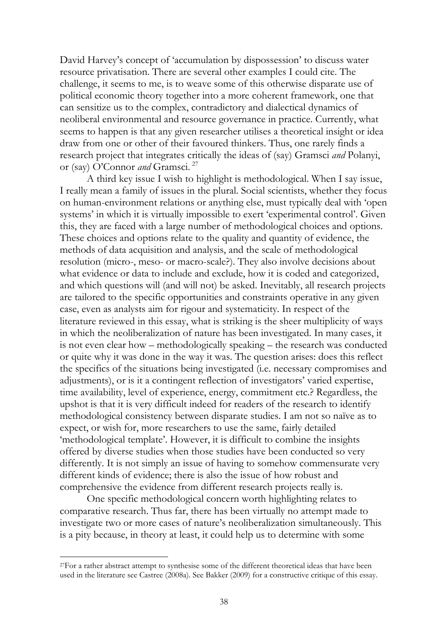David Harvey's concept of 'accumulation by dispossession' to discuss water resource privatisation. There are several other examples I could cite. The challenge, it seems to me, is to weave some of this otherwise disparate use of political economic theory together into a more coherent framework, one that can sensitize us to the complex, contradictory and dialectical dynamics of neoliberal environmental and resource governance in practice. Currently, what seems to happen is that any given researcher utilises a theoretical insight or idea draw from one or other of their favoured thinkers. Thus, one rarely finds a research project that integrates critically the ideas of (say) Gramsci *and* Polanyi, or (say) O'Connor *and* Gramsci. [27](#page-38-0)

A third key issue I wish to highlight is methodological. When I say issue, I really mean a family of issues in the plural. Social scientists, whether they focus on human-environment relations or anything else, must typically deal with 'open systems' in which it is virtually impossible to exert 'experimental control'. Given this, they are faced with a large number of methodological choices and options. These choices and options relate to the quality and quantity of evidence, the methods of data acquisition and analysis, and the scale of methodological resolution (micro-, meso- or macro-scale?). They also involve decisions about what evidence or data to include and exclude, how it is coded and categorized, and which questions will (and will not) be asked. Inevitably, all research projects are tailored to the specific opportunities and constraints operative in any given case, even as analysts aim for rigour and systematicity. In respect of the literature reviewed in this essay, what is striking is the sheer multiplicity of ways in which the neoliberalization of nature has been investigated. In many cases, it is not even clear how – methodologically speaking – the research was conducted or quite why it was done in the way it was. The question arises: does this reflect the specifics of the situations being investigated (i.e. necessary compromises and adjustments), or is it a contingent reflection of investigators' varied expertise, time availability, level of experience, energy, commitment etc.? Regardless, the upshot is that it is very difficult indeed for readers of the research to identify methodological consistency between disparate studies. I am not so naïve as to expect, or wish for, more researchers to use the same, fairly detailed 'methodological template'. However, it is difficult to combine the insights offered by diverse studies when those studies have been conducted so very differently. It is not simply an issue of having to somehow commensurate very different kinds of evidence; there is also the issue of how robust and comprehensive the evidence from different research projects really is.

One specific methodological concern worth highlighting relates to comparative research. Thus far, there has been virtually no attempt made to investigate two or more cases of nature's neoliberalization simultaneously. This is a pity because, in theory at least, it could help us to determine with some

<span id="page-39-0"></span><sup>27</sup>For a rather abstract attempt to synthesise some of the different theoretical ideas that have been used in the literature see Castree (2008a). See Bakker (2009) for a constructive critique of this essay.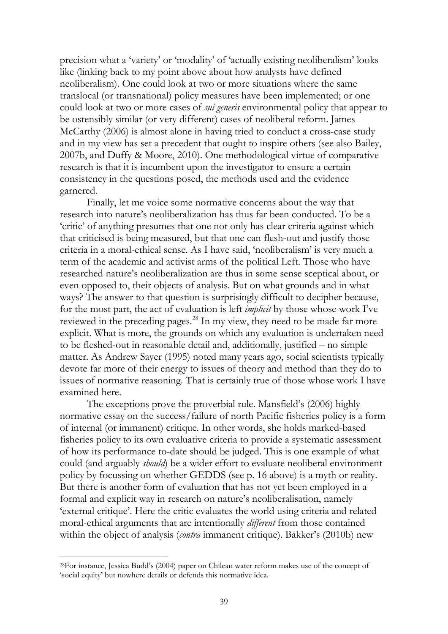precision what a 'variety' or 'modality' of 'actually existing neoliberalism' looks like (linking back to my point above about how analysts have defined neoliberalism). One could look at two or more situations where the same translocal (or transnational) policy measures have been implemented; or one could look at two or more cases of *sui generis* environmental policy that appear to be ostensibly similar (or very different) cases of neoliberal reform. James McCarthy (2006) is almost alone in having tried to conduct a cross-case study and in my view has set a precedent that ought to inspire others (see also Bailey, 2007b, and Duffy & Moore, 2010). One methodological virtue of comparative research is that it is incumbent upon the investigator to ensure a certain consistency in the questions posed, the methods used and the evidence garnered.

Finally, let me voice some normative concerns about the way that research into nature's neoliberalization has thus far been conducted. To be a 'critic' of anything presumes that one not only has clear criteria against which that criticised is being measured, but that one can flesh-out and justify those criteria in a moral-ethical sense. As I have said, 'neoliberalism' is very much a term of the academic and activist arms of the political Left. Those who have researched nature's neoliberalization are thus in some sense sceptical about, or even opposed to, their objects of analysis. But on what grounds and in what ways? The answer to that question is surprisingly difficult to decipher because, for the most part, the act of evaluation is left *implicit* by those whose work I've reviewed in the preceding pages.<sup>[28](#page-39-0)</sup> In my view, they need to be made far more explicit. What is more, the grounds on which any evaluation is undertaken need to be fleshed-out in reasonable detail and, additionally, justified – no simple matter. As Andrew Sayer (1995) noted many years ago, social scientists typically devote far more of their energy to issues of theory and method than they do to issues of normative reasoning. That is certainly true of those whose work I have examined here.

The exceptions prove the proverbial rule. Mansfield's (2006) highly normative essay on the success/failure of north Pacific fisheries policy is a form of internal (or immanent) critique. In other words, she holds marked-based fisheries policy to its own evaluative criteria to provide a systematic assessment of how its performance to-date should be judged. This is one example of what could (and arguably *should*) be a wider effort to evaluate neoliberal environment policy by focussing on whether GEDDS (see p. 16 above) is a myth or reality. But there is another form of evaluation that has not yet been employed in a formal and explicit way in research on nature's neoliberalisation, namely 'external critique'. Here the critic evaluates the world using criteria and related moral-ethical arguments that are intentionally *different* from those contained within the object of analysis (*contra* immanent critique). Bakker's (2010b) new

<span id="page-40-0"></span><sup>28</sup>For instance, Jessica Budd's (2004) paper on Chilean water reform makes use of the concept of 'social equity' but nowhere details or defends this normative idea.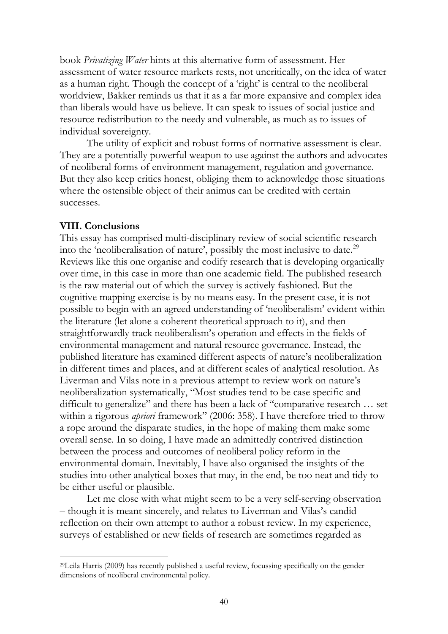book *Privatizing Water* hints at this alternative form of assessment. Her assessment of water resource markets rests, not uncritically, on the idea of water as a human right. Though the concept of a 'right' is central to the neoliberal worldview, Bakker reminds us that it as a far more expansive and complex idea than liberals would have us believe. It can speak to issues of social justice and resource redistribution to the needy and vulnerable, as much as to issues of individual sovereignty.

The utility of explicit and robust forms of normative assessment is clear. They are a potentially powerful weapon to use against the authors and advocates of neoliberal forms of environment management, regulation and governance. But they also keep critics honest, obliging them to acknowledge those situations where the ostensible object of their animus can be credited with certain successes.

#### **VIII. Conclusions**

 $\overline{a}$ 

This essay has comprised multi-disciplinary review of social scientific research into the 'neoliberalisation of nature', possibly the most inclusive to date.<sup>[29](#page-40-0)</sup> Reviews like this one organise and codify research that is developing organically over time, in this case in more than one academic field. The published research is the raw material out of which the survey is actively fashioned. But the cognitive mapping exercise is by no means easy. In the present case, it is not possible to begin with an agreed understanding of 'neoliberalism' evident within the literature (let alone a coherent theoretical approach to it), and then straightforwardly track neoliberalism's operation and effects in the fields of environmental management and natural resource governance. Instead, the published literature has examined different aspects of nature's neoliberalization in different times and places, and at different scales of analytical resolution. As Liverman and Vilas note in a previous attempt to review work on nature's neoliberalization systematically, "Most studies tend to be case specific and difficult to generalize" and there has been a lack of "comparative research … set within a rigorous *apriori* framework" (2006: 358). I have therefore tried to throw a rope around the disparate studies, in the hope of making them make some overall sense. In so doing, I have made an admittedly contrived distinction between the process and outcomes of neoliberal policy reform in the environmental domain. Inevitably, I have also organised the insights of the studies into other analytical boxes that may, in the end, be too neat and tidy to be either useful or plausible.

Let me close with what might seem to be a very self-serving observation – though it is meant sincerely, and relates to Liverman and Vilas's candid reflection on their own attempt to author a robust review. In my experience, surveys of established or new fields of research are sometimes regarded as

<sup>29</sup>Leila Harris (2009) has recently published a useful review, focussing specifically on the gender dimensions of neoliberal environmental policy.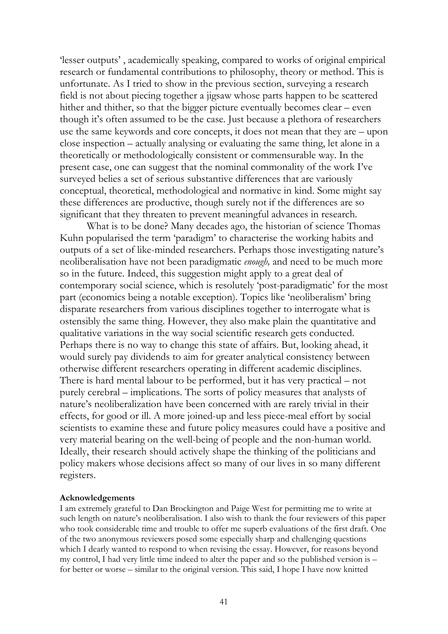'lesser outputs' , academically speaking, compared to works of original empirical research or fundamental contributions to philosophy, theory or method. This is unfortunate. As I tried to show in the previous section, surveying a research field is not about piecing together a jigsaw whose parts happen to be scattered hither and thither, so that the bigger picture eventually becomes clear – even though it's often assumed to be the case. Just because a plethora of researchers use the same keywords and core concepts, it does not mean that they are – upon close inspection – actually analysing or evaluating the same thing, let alone in a theoretically or methodologically consistent or commensurable way. In the present case, one can suggest that the nominal commonality of the work I've surveyed belies a set of serious substantive differences that are variously conceptual, theoretical, methodological and normative in kind. Some might say these differences are productive, though surely not if the differences are so significant that they threaten to prevent meaningful advances in research.

What is to be done? Many decades ago, the historian of science Thomas Kuhn popularised the term 'paradigm' to characterise the working habits and outputs of a set of like-minded researchers. Perhaps those investigating nature's neoliberalisation have not been paradigmatic *enough,* and need to be much more so in the future. Indeed, this suggestion might apply to a great deal of contemporary social science, which is resolutely 'post-paradigmatic' for the most part (economics being a notable exception). Topics like 'neoliberalism' bring disparate researchers from various disciplines together to interrogate what is ostensibly the same thing. However, they also make plain the quantitative and qualitative variations in the way social scientific research gets conducted. Perhaps there is no way to change this state of affairs. But, looking ahead, it would surely pay dividends to aim for greater analytical consistency between otherwise different researchers operating in different academic disciplines. There is hard mental labour to be performed, but it has very practical – not purely cerebral – implications. The sorts of policy measures that analysts of nature's neoliberalization have been concerned with are rarely trivial in their effects, for good or ill. A more joined-up and less piece-meal effort by social scientists to examine these and future policy measures could have a positive and very material bearing on the well-being of people and the non-human world. Ideally, their research should actively shape the thinking of the politicians and policy makers whose decisions affect so many of our lives in so many different registers.

#### **Acknowledgements**

I am extremely grateful to Dan Brockington and Paige West for permitting me to write at such length on nature's neoliberalisation. I also wish to thank the four reviewers of this paper who took considerable time and trouble to offer me superb evaluations of the first draft. One of the two anonymous reviewers posed some especially sharp and challenging questions which I dearly wanted to respond to when revising the essay. However, for reasons beyond my control, I had very little time indeed to alter the paper and so the published version is – for better or worse – similar to the original version. This said, I hope I have now knitted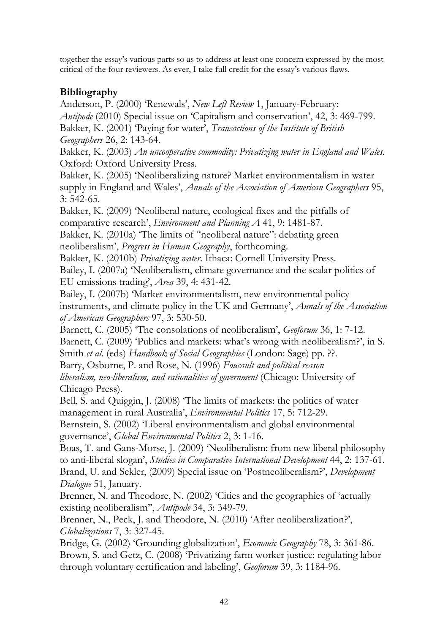together the essay's various parts so as to address at least one concern expressed by the most critical of the four reviewers. As ever, I take full credit for the essay's various flaws.

## **Bibliography**

Anderson, P. (2000) 'Renewals', *New Left Review* 1, January-February: *Antipode* (2010) Special issue on 'Capitalism and conservation', 42, 3: 469-799. Bakker, K. (2001) 'Paying for water', *Transactions of the Institute of British Geographers* 26, 2: 143-64.

Bakker, K. (2003) *An uncooperative commodity: Privatizing water in England and Wales.* Oxford: Oxford University Press.

Bakker, K. (2005) 'Neoliberalizing nature? Market environmentalism in water supply in England and Wales', *Annals of the Association of American Geographers* 95, 3: 542-65.

Bakker, K. (2009) 'Neoliberal nature, ecological fixes and the pitfalls of comparative research', *Environment and Planning A* 41, 9: 1481-87.

Bakker, K. (2010a) The limits of "neoliberal nature": debating green

neoliberalism', *Progress in Human Geography*, forthcoming.

Bakker, K. (2010b) *Privatizing water*. Ithaca: Cornell University Press. Bailey, I. (2007a) 'Neoliberalism, climate governance and the scalar politics of

EU emissions trading', *Area* 39, 4: 431-42.

Bailey, I. (2007b) 'Market environmentalism, new environmental policy instruments, and climate policy in the UK and Germany', *Annals of the Association of American Geographers* 97, 3: 530-50.

Barnett, C. (2005) 'The consolations of neoliberalism', *Geoforum* 36, 1: 7-12. Barnett, C. (2009) 'Publics and markets: what's wrong with neoliberalism?', in S. Smith *et al*. (eds) *Handbook of Social Geographies* (London: Sage) pp. ??.

Barry, Osborne, P. and Rose, N. (1996) *Foucault and political reason liberalism, neo-liberalism, and rationalities of government* (Chicago: University of Chicago Press).

Bell, S. and Quiggin, J. (2008) 'The limits of markets: the politics of water management in rural Australia', *Environmental Politics* 17, 5: 712-29.

Bernstein, S. (2002) 'Liberal environmentalism and global environmental governance', *Global Environmental Politics* 2, 3: 1-16.

Boas, T. and Gans-Morse, J. (2009) 'Neoliberalism: from new liberal philosophy to anti-liberal slogan', *Studies in Comparative International Development* 44, 2: 137-61. Brand, U. and Sekler, (2009) Special issue on 'Postneoliberalism?', *Development Dialogue* 51, January.

Brenner, N. and Theodore, N. (2002) 'Cities and the geographies of 'actually existing neoliberalism'', *Antipode* 34, 3: 349-79.

Brenner, N., Peck, J. and Theodore, N. (2010) 'After neoliberalization?', *Globalizations* 7, 3: 327-45.

Bridge, G. (2002) 'Grounding globalization', *Economic Geography* 78, 3: 361-86. Brown, S. and Getz, C. (2008) 'Privatizing farm worker justice: regulating labor through voluntary certification and labeling', *Geoforum* 39, 3: 1184-96.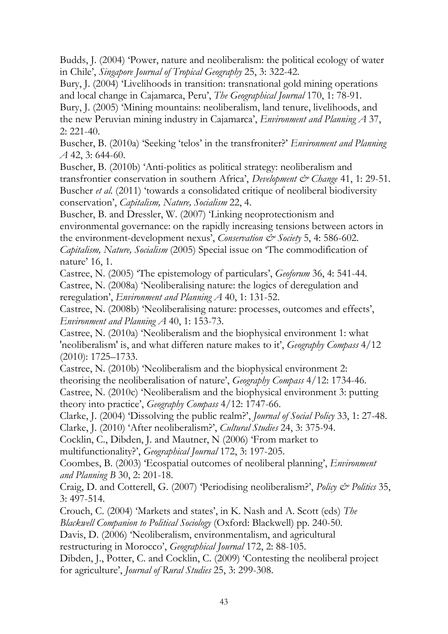Budds, J. (2004) 'Power, nature and neoliberalism: the political ecology of water in Chile', *Singapore Journal of Tropical Geography* 25, 3: 322-42.

Bury, J. (2004) 'Livelihoods in transition: transnational gold mining operations and local change in Cajamarca, Peru', *The Geographical Journal* 170, 1: 78-91.

Bury, J. (2005) 'Mining mountains: neoliberalism, land tenure, livelihoods, and the new Peruvian mining industry in Cajamarca', *Environment and Planning A* 37, 2: 221-40.

Buscher, B. (2010a) 'Seeking 'telos' in the transfroniter?' *Environment and Planning A* 42, 3: 644-60.

Buscher, B. (2010b) 'Anti-politics as political strategy: neoliberalism and transfrontier conservation in southern Africa', *Development & Change* 41, 1: 29-51. Buscher *et al.* (2011) 'towards a consolidated critique of neoliberal biodiversity conservation', *Capitalism, Nature, Socialism* 22, 4.

Buscher, B. and Dressler, W. (2007) 'Linking neoprotectionism and environmental governance: on the rapidly increasing tensions between actors in the environment-development nexus', *Conservation & Society* 5, 4: 586-602.

*Capitalism, Nature, Socialism* (2005) Special issue on 'The commodification of nature' 16, 1.

Castree, N. (2005) 'The epistemology of particulars', *Geoforum* 36, 4: 541-44. Castree, N. (2008a) 'Neoliberalising nature: the logics of deregulation and reregulation', *Environment and Planning A* 40, 1: 131-52.

Castree, N. (2008b) 'Neoliberalising nature: processes, outcomes and effects', *Environment and Planning A* 40, 1: 153-73.

Castree, N. (2010a) 'Neoliberalism and the biophysical environment 1: what 'neoliberalism' is, and what differen nature makes to it', *Geography Compass* 4/12 (2010): 1725–1733.

Castree, N. (2010b) 'Neoliberalism and the biophysical environment 2: theorising the neoliberalisation of nature', *Geography Compass* 4/12: 1734-46. Castree, N. (2010c) 'Neoliberalism and the biophysical environment 3: putting theory into practice', *Geography Compass* 4/12: 1747-66.

Clarke, J. (2004) 'Dissolving the public realm?', *Journal of Social Policy* 33, 1: 27-48. Clarke, J. (2010) 'After neoliberalism?', *Cultural Studies* 24, 3: 375-94.

Cocklin, C., Dibden, J. and Mautner, N (2006) 'From market to

multifunctionality?', *Geographical Journal* 172, 3: 197-205.

Coombes, B. (2003) 'Ecospatial outcomes of neoliberal planning', *Environment and Planning B* 30, 2: 201-18.

Craig, D. and Cotterell, G. (2007) 'Periodising neoliberalism?', *Policy & Politics* 35, 3: 497-514.

Crouch, C. (2004) 'Markets and states', in K. Nash and A. Scott (eds) *The Blackwell Companion to Political Sociology* (Oxford: Blackwell) pp. 240-50.

Davis, D. (2006) 'Neoliberalism, environmentalism, and agricultural

restructuring in Morocco', *Geographical Journal* 172, 2: 88-105.

Dibden, J., Potter, C. and Cocklin, C. (2009) 'Contesting the neoliberal project for agriculture', *Journal of Rural Studies* 25, 3: 299-308.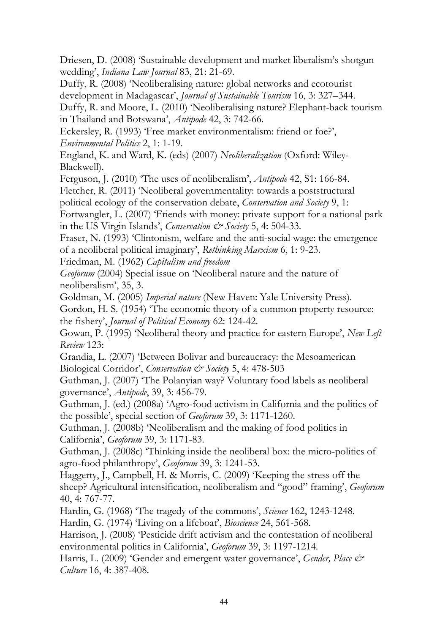Driesen, D. (2008) 'Sustainable development and market liberalism's shotgun wedding', *Indiana Law Journal* 83, 21: 21-69.

Duffy, R. (2008) 'Neoliberalising nature: global networks and ecotourist development in Madagascar', *Journal of Sustainable Tourism* [16,](http://www.informaworld.com/smpp/title~db=all~content=t794297833~tab=issueslist~branches=16#v16) [3:](http://www.informaworld.com/smpp/title~db=all~content=g907050314) 327–344.

Duffy, R. and Moore, L. (2010) 'Neoliberalising nature? Elephant-back tourism in Thailand and Botswana', *Antipode* 42, 3: 742-66.

Eckersley, R. (1993) 'Free market environmentalism: friend or foe?', *Environmental Politics* 2, 1: 1-19.

England, K. and Ward, K. (eds) (2007) *Neoliberalization* (Oxford: Wiley-Blackwell).

Ferguson, J. (2010) 'The uses of neoliberalism', *Antipode* 42, S1: 166-84.

Fletcher, R. (2011) 'Neoliberal governmentality: towards a poststructural

political ecology of the conservation debate, *Conservation and Society* 9, 1:

Fortwangler, L. (2007) 'Friends with money: private support for a national park in the US Virgin Islands', *Conservation*  $\mathcal{Q}^*$  Society 5, 4: 504-33.

Fraser, N. (1993) 'Clintonism, welfare and the anti-social wage: the emergence of a neoliberal political imaginary', *Rethinking Marxism* 6, 1: 9-23.

Friedman, M. (1962) *Capitalism and freedom*

*Geoforum* (2004) Special issue on 'Neoliberal nature and the nature of neoliberalism', 35, 3.

Goldman, M. (2005) *Imperial nature* (New Haven: Yale University Press).

Gordon, H. S. (1954) 'The economic theory of a common property resource: the fishery', *Journal of Political Economy* 62: 124-42.

Gowan, P. (1995) 'Neoliberal theory and practice for eastern Europe', *New Left Review* 123:

Grandia, L. (2007) 'Between Bolivar and bureaucracy: the Mesoamerican Biological Corridor', *Conservation & Society* 5, 4: 478-503

Guthman, J. (2007) 'The Polanyian way? Voluntary food labels as neoliberal governance', *Antipode*, 39, 3: 456-79.

Guthman, J. (ed.) (2008a) 'Agro-food activism in California and the politics of the possible', special section of *Geoforum* 39, 3: 1171-1260.

Guthman, J. (2008b) 'Neoliberalism and the making of food politics in California', *Geoforum* 39, 3: 1171-83.

Guthman, J. (2008c) 'Thinking inside the neoliberal box: the micro-politics of agro-food philanthropy', *Geoforum* 39, 3: 1241-53.

Haggerty, J., Campbell, H. & Morris, C. (2009) 'Keeping the stress off the sheep? Agricultural intensification, neoliberalism and "good" framing', *Geoforum* 40, 4: 767-77.

Hardin, G. (1968) ['The tragedy of the commons'](http://en.wikipedia.org/wiki/Tragedy_of_the_Commons), *Science* 162, 1243-1248.

Hardin, G. (1974) 'Living on a lifeboat', *Bioscience* 24, 561-568.

Harrison, J. (2008) 'Pesticide drift activism and the contestation of neoliberal environmental politics in California', *Geoforum* 39, 3: 1197-1214.

Harris, L. (2009) 'Gender and emergent water governance', *Gender, Place & Culture* 16, 4: 387-408.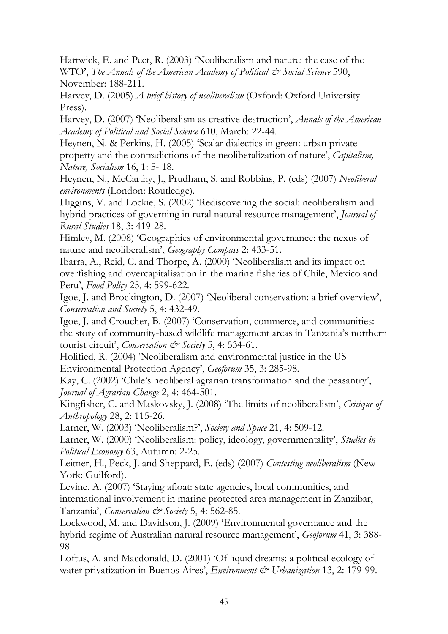Hartwick, E. and Peet, R. (2003) 'Neoliberalism and nature: the case of the WTO', *The Annals of the American Academy of Political & Social Science* 590, November: 188-211.

Harvey, D. (2005) *A brief history of neoliberalism* (Oxford: Oxford University Press).

Harvey, D. (2007) 'Neoliberalism as creative destruction', *Annals of the American Academy of Political and Social Science* 610, March: 22-44.

Heynen, N. & Perkins, H. (2005) 'Scalar dialectics in green: urban private property and the contradictions of the neoliberalization of nature', *Capitalism, Nature, Socialism* 16, 1: 5- 18.

Heynen, N., McCarthy, J., Prudham, S. and Robbins, P. (eds) (2007) *Neoliberal environments* (London: Routledge).

Higgins, V. and Lockie, S. (2002) 'Rediscovering the social: neoliberalism and hybrid practices of governing in rural natural resource management', *Journal of Rural Studies* 18, 3: 419-28.

Himley, M. (2008) 'Geographies of environmental governance: the nexus of nature and neoliberalism', *Geography Compass* 2: 433-51.

Ibarra, A., Reid, C. and Thorpe, A. (2000) 'Neoliberalism and its impact on overfishing and overcapitalisation in the marine fisheries of Chile, Mexico and Peru', *Food Policy* 25, 4: 599-622.

Igoe, J. and Brockington, D. (2007) 'Neoliberal conservation: a brief overview', *Conservation and Society* 5, 4: 432-49.

Igoe, J. and Croucher, B. (2007) 'Conservation, commerce, and communities: the story of community-based wildlife management areas in Tanzania's northern tourist circuit', *Conservation & Society* 5, 4: 534-61.

Holified, R. (2004) 'Neoliberalism and environmental justice in the US Environmental Protection Agency', *Geoforum* 35, 3: 285-98.

Kay, C. (2002) 'Chile's neoliberal agrarian transformation and the peasantry', *Journal of Agrarian Change* 2, 4: 464-501.

Kingfisher, C. and Maskovsky, J. (2008) 'The limits of neoliberalism', *Critique of Anthropology* 28, 2: 115-26.

Larner, W. (2003) 'Neoliberalism?', *Society and Space* 21, 4: 509-12.

Larner, W. (2000) 'Neoliberalism: policy, ideology, governmentality', *Studies in Political Economy* 63, Autumn: 2-25.

Leitner, H., Peck, J. and Sheppard, E. (eds) (2007) *Contesting neoliberalism* (New York: Guilford).

Levine. A. (2007) 'Staying afloat: state agencies, local communities, and international involvement in marine protected area management in Zanzibar, Tanzania', *Conservation & Society* 5, 4: 562-85.

Lockwood, M. and Davidson, J. (2009) 'Environmental governance and the hybrid regime of Australian natural resource management', *Geoforum* 41, 3: 388- 98.

Loftus, A. and Macdonald, D. (2001) 'Of liquid dreams: a political ecology of water privatization in Buenos Aires', *Environment & Urbanization* 13, 2: 179-99.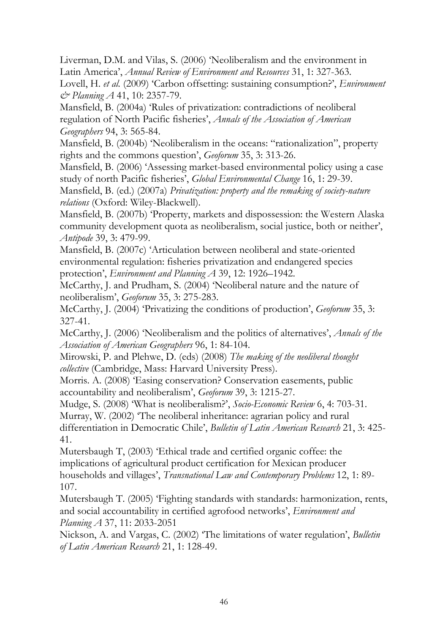Liverman, D.M. and Vilas, S. (2006) 'Neoliberalism and the environment in Latin America', *Annual Review of Environment and Resources* 31, 1: 327-363.

Lovell, H. *et al.* (2009) 'Carbon offsetting: sustaining consumption?', *Environment & Planning A* 41, 10: 2357-79.

Mansfield, B. (2004a) 'Rules of privatization: contradictions of neoliberal regulation of North Pacific fisheries', *Annals of the Association of American Geographers* 94, 3: 565-84.

Mansfield, B. (2004b) 'Neoliberalism in the oceans: "rationalization", property rights and the commons question', *Geoforum* 35, 3: 313-26.

Mansfield, B. (2006) 'Assessing market-based environmental policy using a case study of north Pacific fisheries', *Global Environmental Change* 16, 1: 29-39.

Mansfield, B. (ed.) (2007a) *Privatization: property and the remaking of society-nature relations* (Oxford: Wiley-Blackwell).

Mansfield, B. (2007b) 'Property, markets and dispossession: the Western Alaska community development quota as neoliberalism, social justice, both or neither', *Antipode* 39, 3: 479-99.

Mansfield, B. (2007c) ['Articulation between neoliberal and state-oriented](http://envplan.com/abstract.cgi?id=a38176)  [environmental regulation: fisheries privatization and endangered species](http://envplan.com/abstract.cgi?id=a38176)  [protection'](http://envplan.com/abstract.cgi?id=a38176), *Environment and Planning A* 39, 12: 1926–1942.

McCarthy, J. and Prudham, S. (2004) 'Neoliberal nature and the nature of neoliberalism', *Geoforum* 35, 3: 275-283.

McCarthy, J. (2004) 'Privatizing the conditions of production', *Geoforum* 35, 3: 327-41.

McCarthy, J. (2006) 'Neoliberalism and the politics of alternatives', *Annals of the Association of American Geographers* 96, 1: 84-104.

Mirowski, P. and Plehwe, D. (eds) (2008) *The making of the neoliberal thought collective* (Cambridge, Mass: Harvard University Press).

Morris. A. (2008) 'Easing conservation? Conservation easements, public accountability and neoliberalism', *Geoforum* 39, 3: 1215-27.

Mudge, S. (2008) 'What is neoliberalism?', *Socio-Economic Review* 6, 4: 703-31.

Murray, W. (2002) 'The neoliberal inheritance: agrarian policy and rural differentiation in Democratic Chile', *Bulletin of Latin American Research* 21, 3: 425- 41.

Mutersbaugh T, (2003) 'Ethical trade and certified organic coffee: the implications of agricultural product certification for Mexican producer households and villages', *Transnational Law and Contemporary Problems* 12, 1: 89- 107.

Mutersbaugh T. (2005) 'Fighting standards with standards: harmonization, rents, and social accountability in certified agrofood networks', *Environment and Planning A* 37, 11: 2033-2051

Nickson, A. and Vargas, C. (2002) 'The limitations of water regulation', *Bulletin of Latin American Research* 21, 1: 128-49.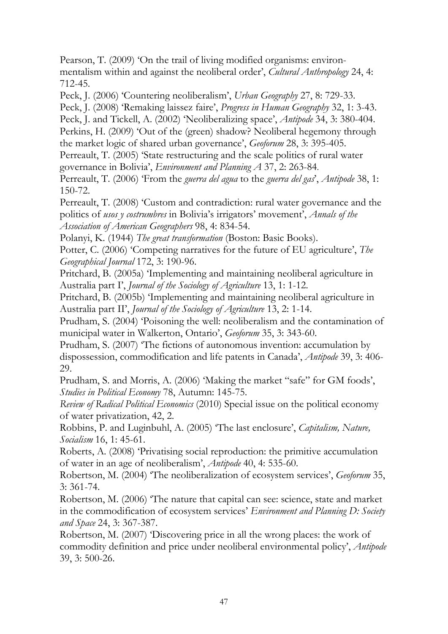Pearson, T. (2009) 'On the trail of living modified organisms: environmentalism within and against the neoliberal order', *Cultural Anthropology* 24, 4: 712-45.

Peck, J. (2006) 'Countering neoliberalism', *Urban Geography* 27, 8: 729-33.

Peck, J. (2008) 'Remaking laissez faire', *Progress in Human Geography* 32, 1: 3-43. Peck, J. and Tickell, A. (2002) 'Neoliberalizing space', *Antipode* 34, 3: 380-404. Perkins, H. (2009) 'Out of the (green) shadow? Neoliberal hegemony through the market logic of shared urban governance', *Geoforum* 28, 3: 395-405. Perreault, T. (2005) 'State restructuring and the scale politics of rural water

governance in Bolivia', *Environment and Planning A* 37, 2: 263-84.

Perreault, T. (2006) 'From the *guerra del agua* to the *guerra del gas*', *Antipode* 38, 1: 150-72.

Perreault, T. (2008) 'Custom and contradiction: rural water governance and the politics of *usos y costrumbres* in Bolivia's irrigators' movement', *Annals of the Association of American Geographers* 98, 4: 834-54.

Polanyi, K. (1944) *The great transformation* (Boston: Basic Books).

Potter, C. (2006) 'Competing narratives for the future of EU agriculture', *The Geographical Journal* 172, 3: 190-96.

Pritchard, B. (2005a) 'Implementing and maintaining neoliberal agriculture in Australia part I', *Journal of the Sociology of Agriculture* 13, 1: 1-12.

Pritchard, B. (2005b) 'Implementing and maintaining neoliberal agriculture in Australia part II', *Journal of the Sociology of Agriculture* 13, 2: 1-14.

Prudham, S. (2004) 'Poisoning the well: neoliberalism and the contamination of municipal water in Walkerton, Ontario', *Geoforum* 35, 3: 343-60.

Prudham, S. (2007) 'The fictions of autonomous invention: accumulation by dispossession, commodification and life patents in Canada', *Antipode* 39, 3: 406- 29.

Prudham, S. and Morris, A. (2006) 'Making the market "safe" for GM foods', *Studies in Political Economy* 78, Autumn: 145-75.

*Review of Radical Political Economics* (2010) Special issue on the political economy of water privatization, 42, 2.

Robbins, P. and Luginbuhl, A. (2005) 'The last enclosure', *Capitalism, Nature, Socialism* 16, 1: 45-61.

Roberts, A. (2008) 'Privatising social reproduction: the primitive accumulation of water in an age of neoliberalism', *Antipode* 40, 4: 535-60.

Robertson, M. (2004) 'The neoliberalization of ecosystem services', *Geoforum* 35, 3: 361-74.

Robertson, M. (2006) 'The nature that capital can see: science, state and market in the commodification of ecosystem services' *Environment and Planning D: Society and Space* 24, 3: 367-387.

Robertson, M. (2007) 'Discovering price in all the wrong places: the work of commodity definition and price under neoliberal environmental policy', *Antipode* 39, 3: 500-26.